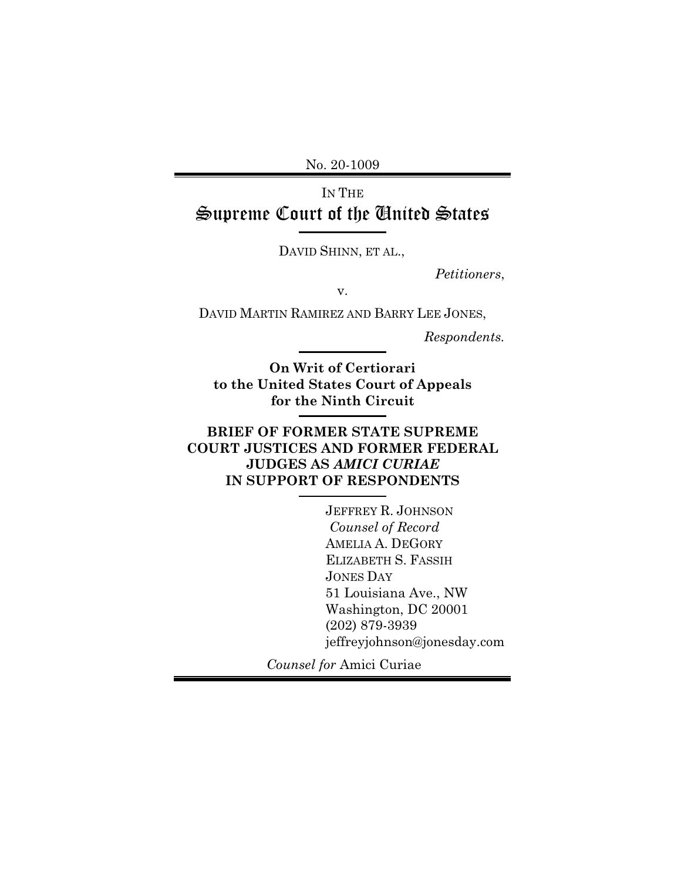No. 20-1009

# IN THE Supreme Court of the United States

DAVID SHINN, ET AL.,

*Petitioners*,

v.

DAVID MARTIN RAMIREZ AND BARRY LEE JONES,

*Respondents.* 

**On Writ of Certiorari to the United States Court of Appeals for the Ninth Circuit** 

## **BRIEF OF FORMER STATE SUPREME COURT JUSTICES AND FORMER FEDERAL JUDGES AS** *AMICI CURIAE*  **IN SUPPORT OF RESPONDENTS**

 JEFFREY R. JOHNSON *Counsel of Record*  AMELIA A. DEGORY ELIZABETH S. FASSIH JONES DAY 51 Louisiana Ave., NW Washington, DC 20001 (202) 879-3939 jeffreyjohnson@jonesday.com

*Counsel for* Amici Curiae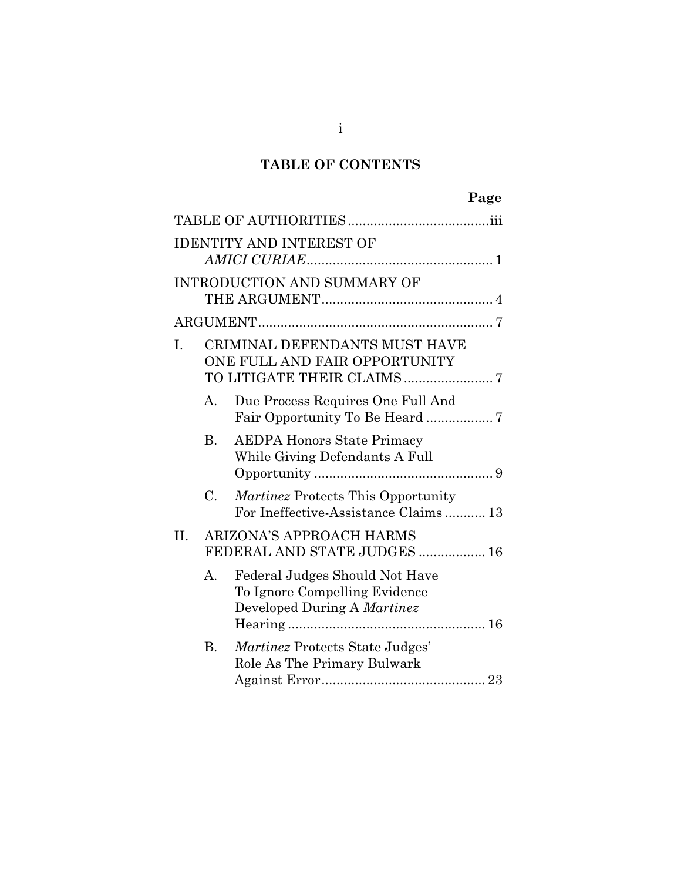## **TABLE OF CONTENTS**

|     |                | <b>IDENTITY AND INTEREST OF</b>                                                                |
|-----|----------------|------------------------------------------------------------------------------------------------|
|     |                | INTRODUCTION AND SUMMARY OF                                                                    |
|     |                |                                                                                                |
| I.  |                | CRIMINAL DEFENDANTS MUST HAVE<br>ONE FULL AND FAIR OPPORTUNITY                                 |
|     | $\mathbf{A}$ . | Due Process Requires One Full And                                                              |
|     | <b>B.</b>      | <b>AEDPA Honors State Primacy</b><br>While Giving Defendants A Full                            |
|     | $C$ .          | Martinez Protects This Opportunity<br>For Ineffective-Assistance Claims 13                     |
| II. |                | ARIZONA'S APPROACH HARMS<br>FEDERAL AND STATE JUDGES 16                                        |
|     | Α.             | Federal Judges Should Not Have<br>To Ignore Compelling Evidence<br>Developed During A Martinez |
|     | <b>B.</b>      | Martinez Protects State Judges'<br>Role As The Primary Bulwark                                 |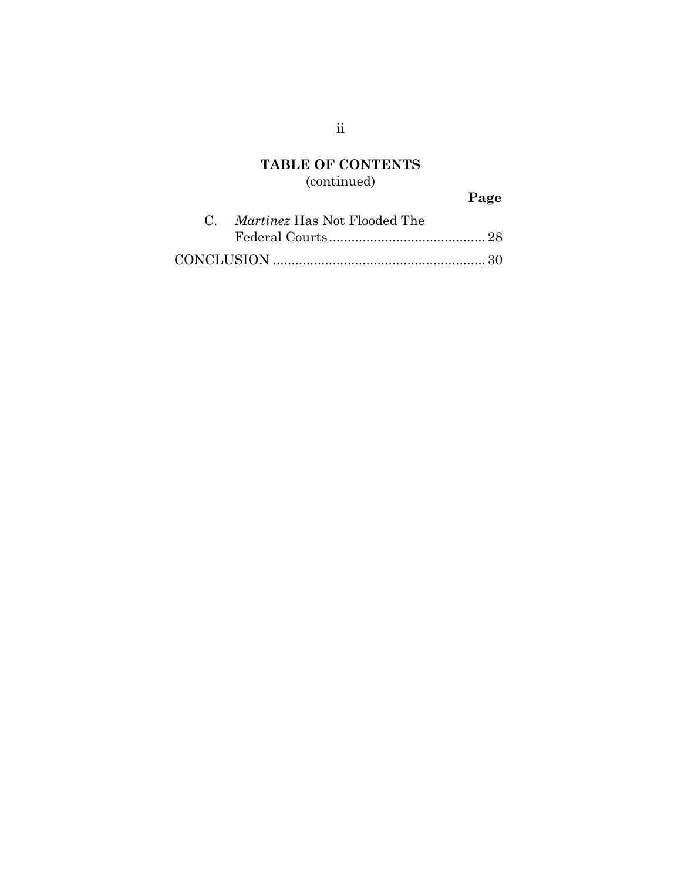## **TABLE OF CONTENTS**  (continued)

**Page**

| C. <i>Martinez</i> Has Not Flooded The |  |
|----------------------------------------|--|
|                                        |  |
|                                        |  |

ii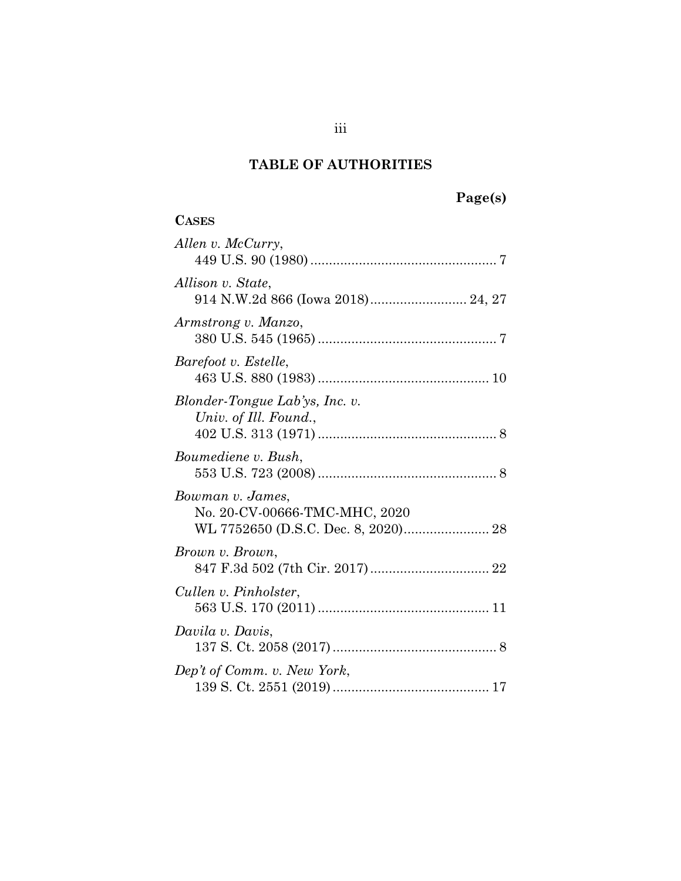## **TABLE OF AUTHORITIES**

| Paget<br>S) |
|-------------|
|-------------|

| <b>CASES</b>                                            |
|---------------------------------------------------------|
| Allen v. McCurry,                                       |
| Allison v. State,<br>914 N.W.2d 866 (Iowa 2018) 24, 27  |
| Armstrong v. Manzo,                                     |
| Barefoot v. Estelle,                                    |
| Blonder-Tongue Lab'ys, Inc. v.<br>Univ. of Ill. Found., |
| Boumediene v. Bush,                                     |
| Bowman v. James,<br>No. 20-CV-00666-TMC-MHC, 2020       |
| Brown v. Brown,                                         |
| Cullen v. Pinholster,                                   |
| Davila v. Davis,                                        |
| Dep't of Comm. v. New York,                             |

iii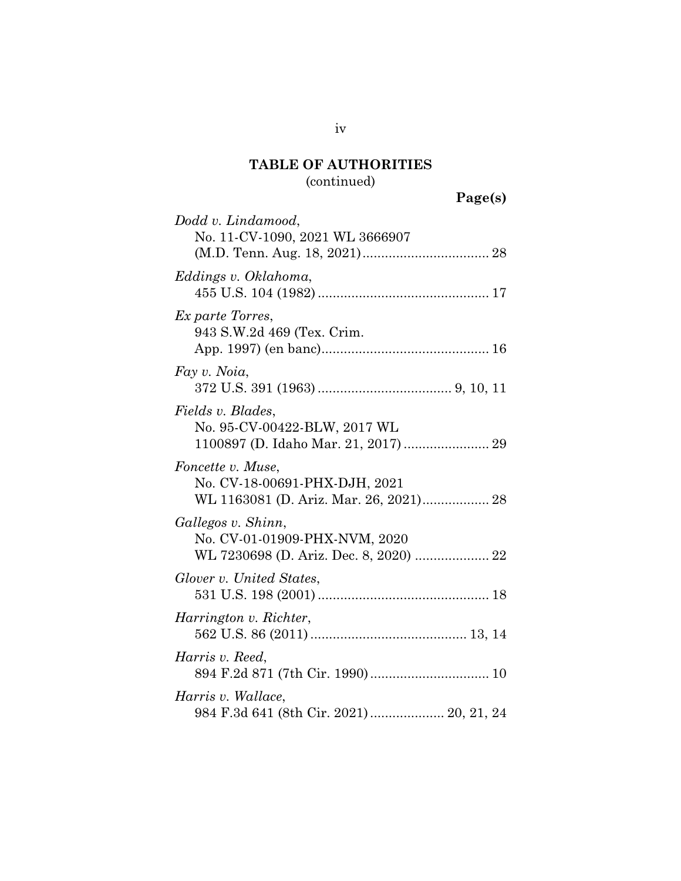## **TABLE OF AUTHORITIES**  (continued)

**Page(s)**

| Dodd v. Lindamood,<br>No. 11-CV-1090, 2021 WL 3666907                                         |
|-----------------------------------------------------------------------------------------------|
| Eddings v. Oklahoma,                                                                          |
| Ex parte Torres,<br>943 S.W.2d 469 (Tex. Crim.                                                |
| Fay v. Noia,                                                                                  |
| Fields v. Blades,<br>No. 95-CV-00422-BLW, 2017 WL<br>1100897 (D. Idaho Mar. 21, 2017)  29     |
| Foncette v. Muse,<br>No. CV-18-00691-PHX-DJH, 2021<br>WL 1163081 (D. Ariz. Mar. 26, 2021) 28  |
| Gallegos v. Shinn,<br>No. CV-01-01909-PHX-NVM, 2020<br>WL 7230698 (D. Ariz. Dec. 8, 2020)  22 |
| Glover v. United States,                                                                      |
| Harrington v. Richter,                                                                        |
| Harris v. Reed,                                                                               |
| Harris v. Wallace,<br>984 F.3d 641 (8th Cir. 2021) 20, 21, 24                                 |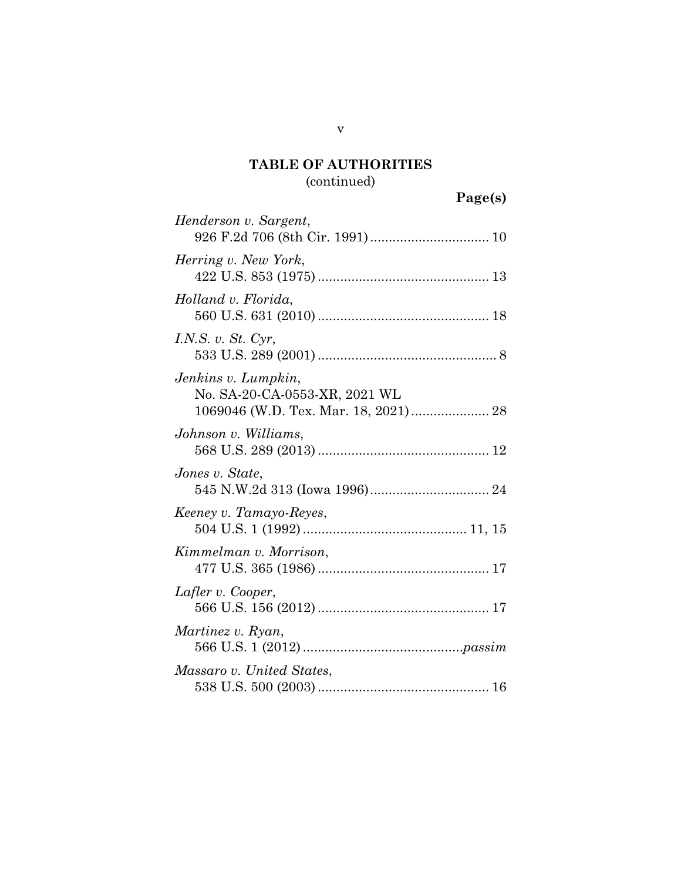## **TABLE OF AUTHORITIES**  (continued)

| Henderson v. Sargent,                                |
|------------------------------------------------------|
| Herring v. New York,                                 |
| Holland v. Florida,                                  |
| I.N.S. v. $St.$ Cyr,                                 |
| Jenkins v. Lumpkin,<br>No. SA-20-CA-0553-XR, 2021 WL |
| Johnson v. Williams,                                 |
| Jones v. State,                                      |
| Keeney v. Tamayo-Reyes,                              |
| Kimmelman v. Morrison,                               |
| Lafler v. Cooper,                                    |
| Martinez v. Ryan,                                    |
| Massaro v. United States,                            |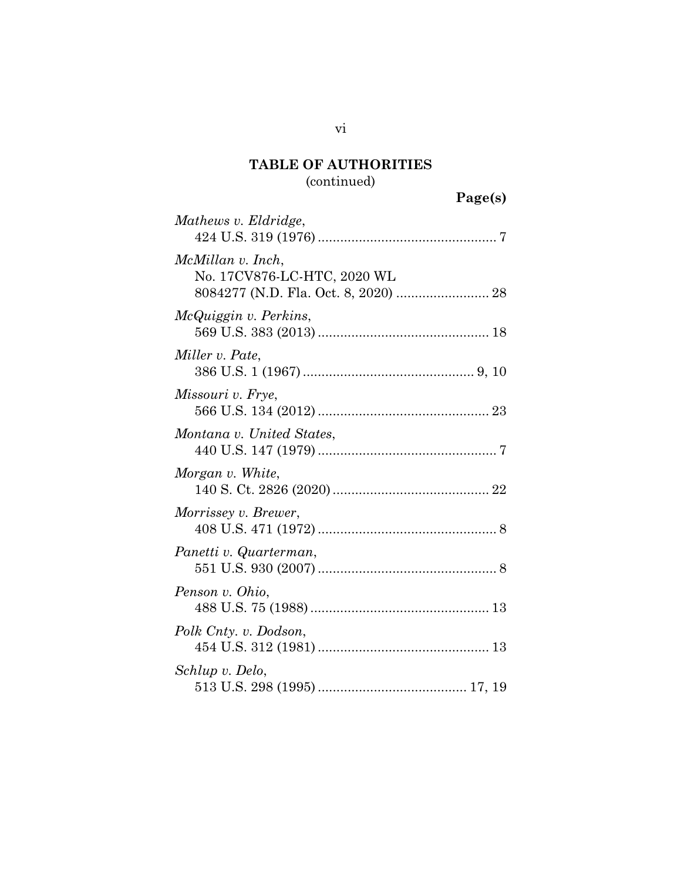## **TABLE OF AUTHORITIES**

## (continued)

| Mathews v. Eldridge,                                                                     |
|------------------------------------------------------------------------------------------|
| McMillan v. Inch,<br>No. 17CV876-LC-HTC, 2020 WL<br>8084277 (N.D. Fla. Oct. 8, 2020)  28 |
| McQuiggin v. Perkins,                                                                    |
| Miller v. Pate,                                                                          |
| Missouri v. Frye,                                                                        |
| Montana v. United States,                                                                |
| Morgan v. White,                                                                         |
| Morrissey v. Brewer,                                                                     |
| Panetti v. Quarterman,                                                                   |
| Penson v. Ohio,                                                                          |
| Polk Cnty. v. Dodson,                                                                    |
| Schlup v. Delo,                                                                          |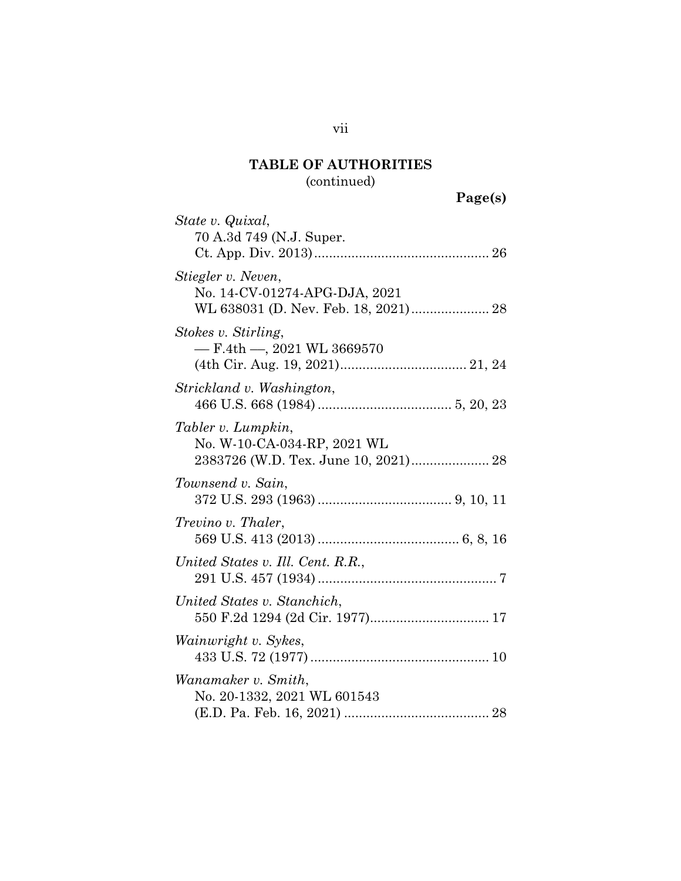# **TABLE OF AUTHORITIES**

(continued)

**Page(s)**

| State v. Quixal,<br>70 A.3d 749 (N.J. Super.                                                |
|---------------------------------------------------------------------------------------------|
| Stiegler v. Neven,<br>No. 14-CV-01274-APG-DJA, 2021<br>WL 638031 (D. Nev. Feb. 18, 2021) 28 |
| Stokes v. Stirling,<br>— F.4th —, 2021 WL 3669570                                           |
| Strickland v. Washington,                                                                   |
| Tabler v. Lumpkin,<br>No. W-10-CA-034-RP, 2021 WL<br>2383726 (W.D. Tex. June 10, 2021) 28   |
| Townsend v. Sain,                                                                           |
| <i>Trevino v. Thaler,</i>                                                                   |
| United States v. Ill. Cent. R.R.,                                                           |
| United States v. Stanchich,<br>550 F.2d 1294 (2d Cir. 1977) 17                              |
| Wainwright v. Sykes,                                                                        |
| Wanamaker v. Smith,<br>No. 20-1332, 2021 WL 601543                                          |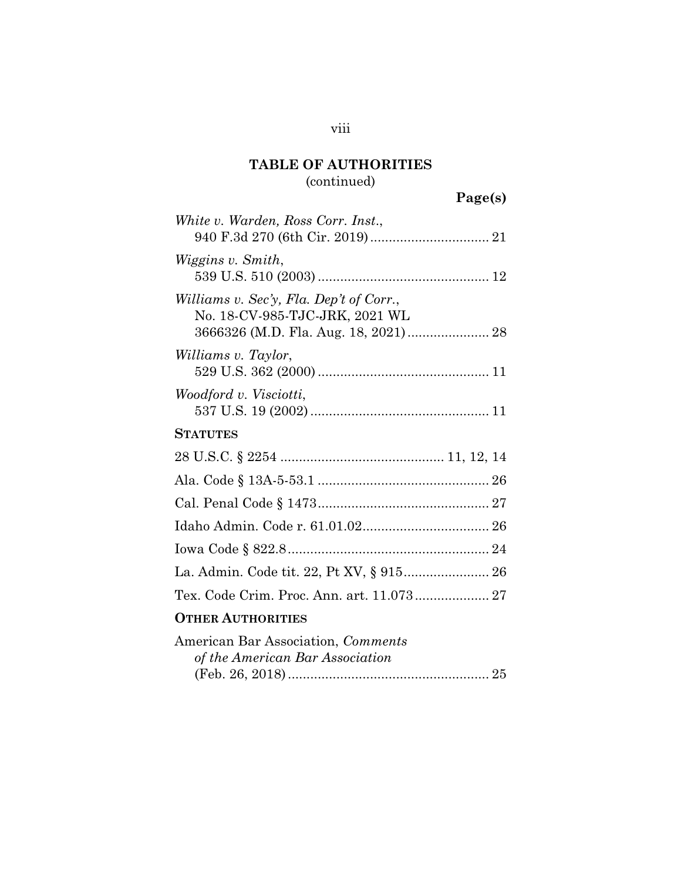## **TABLE OF AUTHORITIES**  (continued)

| White v. Warden, Ross Corr. Inst.,                                        |
|---------------------------------------------------------------------------|
| Wiggins v. Smith,                                                         |
| Williams v. Sec'y, Fla. Dep't of Corr.,<br>No. 18-CV-985-TJC-JRK, 2021 WL |
| Williams v. Taylor,                                                       |
| Woodford v. Visciotti,                                                    |
| <b>STATUTES</b>                                                           |
|                                                                           |
|                                                                           |
|                                                                           |
|                                                                           |
|                                                                           |
|                                                                           |
|                                                                           |
|                                                                           |

| American Bar Association, Comments |  |
|------------------------------------|--|
| of the American Bar Association    |  |
|                                    |  |

## viii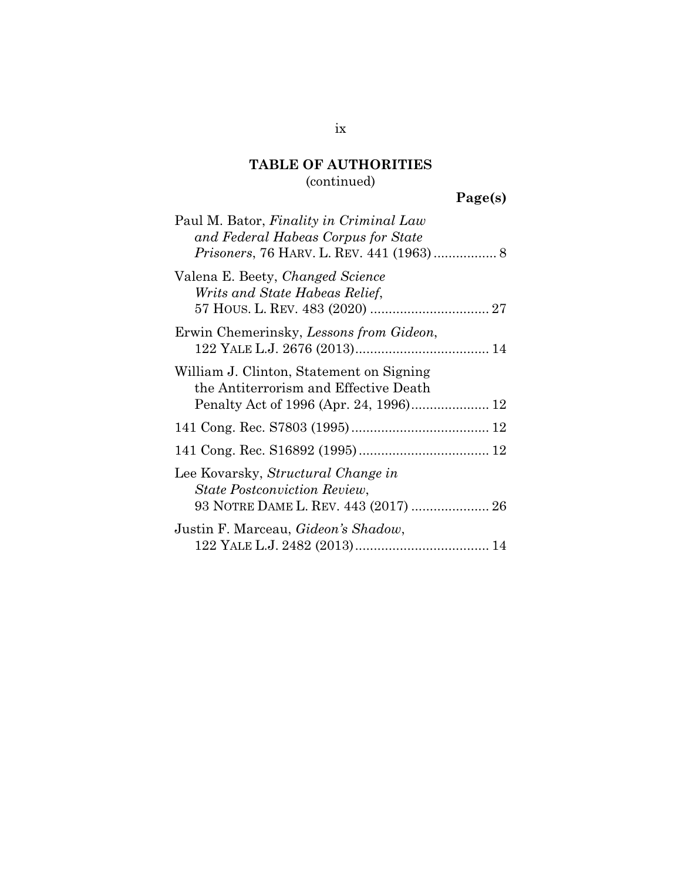## **TABLE OF AUTHORITIES**  (continued)

# **Page(s)**

| Paul M. Bator, Finality in Criminal Law<br>and Federal Habeas Corpus for State                                           |
|--------------------------------------------------------------------------------------------------------------------------|
| Valena E. Beety, Changed Science<br>Writs and State Habeas Relief,                                                       |
| Erwin Chemerinsky, Lessons from Gideon,                                                                                  |
| William J. Clinton, Statement on Signing<br>the Antiterrorism and Effective Death                                        |
|                                                                                                                          |
|                                                                                                                          |
| Lee Kovarsky, Structural Change in<br><i><b>State Postconviction Review,</b></i><br>93 NOTRE DAME L. REV. 443 (2017)  26 |
| Justin F. Marceau, Gideon's Shadow,                                                                                      |

ix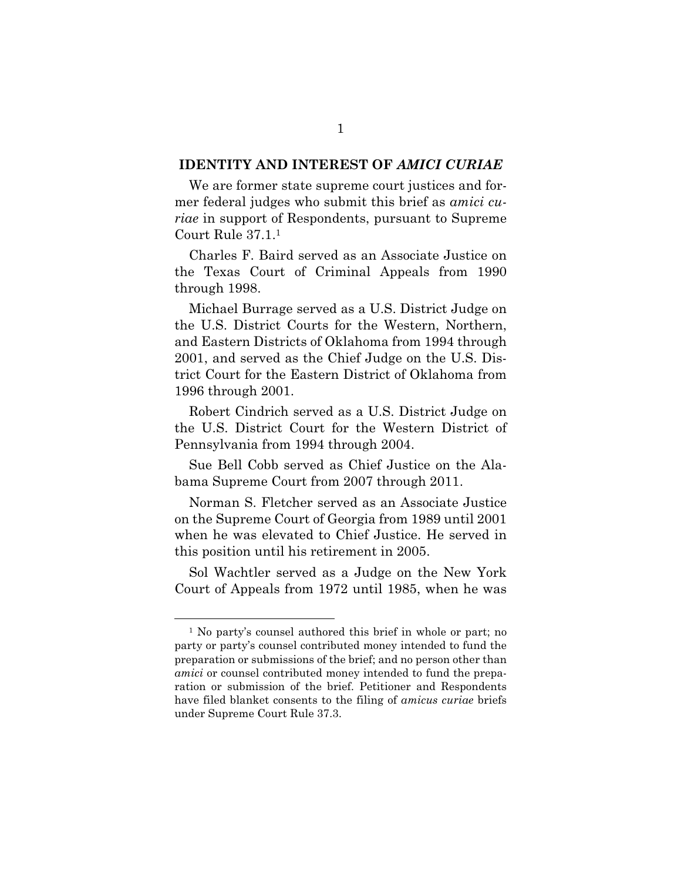#### **IDENTITY AND INTEREST OF** *AMICI CURIAE*

We are former state supreme court justices and former federal judges who submit this brief as *amici curiae* in support of Respondents, pursuant to Supreme Court Rule 37.1.1

Charles F. Baird served as an Associate Justice on the Texas Court of Criminal Appeals from 1990 through 1998.

Michael Burrage served as a U.S. District Judge on the U.S. District Courts for the Western, Northern, and Eastern Districts of Oklahoma from 1994 through 2001, and served as the Chief Judge on the U.S. District Court for the Eastern District of Oklahoma from 1996 through 2001.

Robert Cindrich served as a U.S. District Judge on the U.S. District Court for the Western District of Pennsylvania from 1994 through 2004.

Sue Bell Cobb served as Chief Justice on the Alabama Supreme Court from 2007 through 2011.

Norman S. Fletcher served as an Associate Justice on the Supreme Court of Georgia from 1989 until 2001 when he was elevated to Chief Justice. He served in this position until his retirement in 2005.

Sol Wachtler served as a Judge on the New York Court of Appeals from 1972 until 1985, when he was

 $\overline{a}$ 

<sup>1</sup> No party's counsel authored this brief in whole or part; no party or party's counsel contributed money intended to fund the preparation or submissions of the brief; and no person other than *amici* or counsel contributed money intended to fund the preparation or submission of the brief. Petitioner and Respondents have filed blanket consents to the filing of *amicus curiae* briefs under Supreme Court Rule 37.3.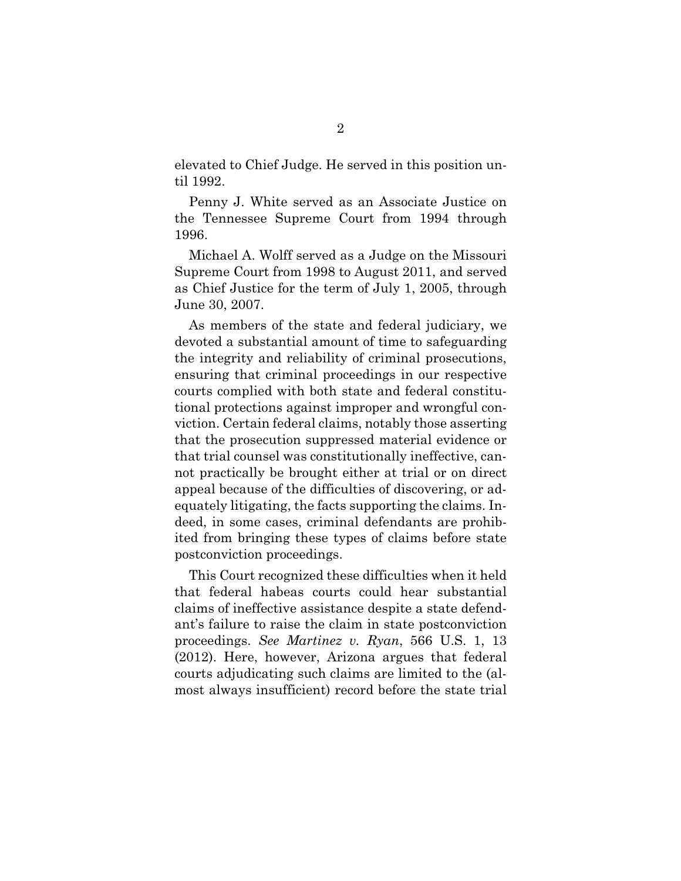elevated to Chief Judge. He served in this position until 1992.

Penny J. White served as an Associate Justice on the Tennessee Supreme Court from 1994 through 1996.

Michael A. Wolff served as a Judge on the Missouri Supreme Court from 1998 to August 2011, and served as Chief Justice for the term of July 1, 2005, through June 30, 2007.

As members of the state and federal judiciary, we devoted a substantial amount of time to safeguarding the integrity and reliability of criminal prosecutions, ensuring that criminal proceedings in our respective courts complied with both state and federal constitutional protections against improper and wrongful conviction. Certain federal claims, notably those asserting that the prosecution suppressed material evidence or that trial counsel was constitutionally ineffective, cannot practically be brought either at trial or on direct appeal because of the difficulties of discovering, or adequately litigating, the facts supporting the claims. Indeed, in some cases, criminal defendants are prohibited from bringing these types of claims before state postconviction proceedings.

This Court recognized these difficulties when it held that federal habeas courts could hear substantial claims of ineffective assistance despite a state defendant's failure to raise the claim in state postconviction proceedings. *See Martinez v. Ryan*, 566 U.S. 1, 13 (2012). Here, however, Arizona argues that federal courts adjudicating such claims are limited to the (almost always insufficient) record before the state trial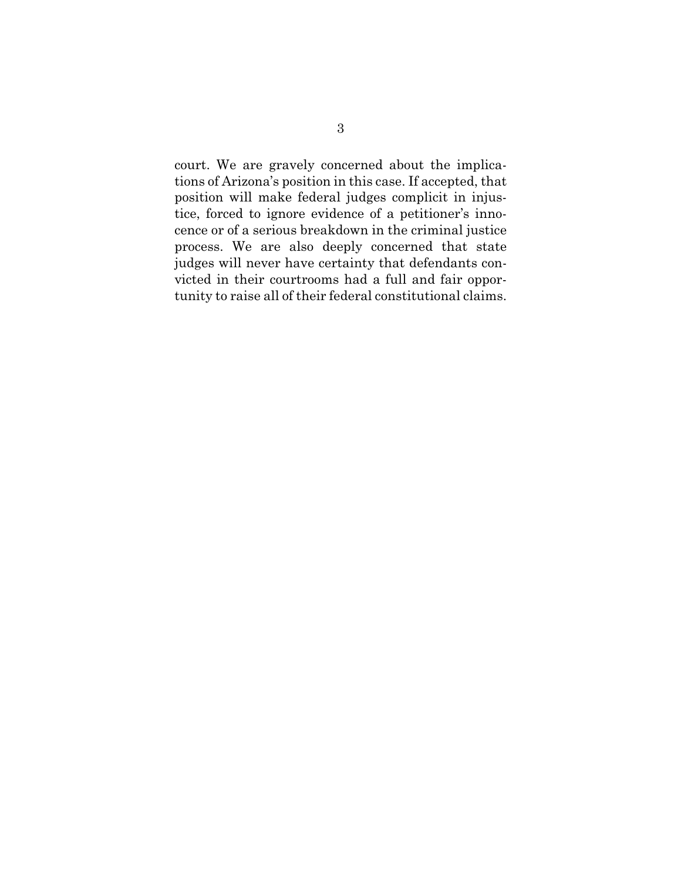court. We are gravely concerned about the implications of Arizona's position in this case. If accepted, that position will make federal judges complicit in injustice, forced to ignore evidence of a petitioner's innocence or of a serious breakdown in the criminal justice process. We are also deeply concerned that state judges will never have certainty that defendants convicted in their courtrooms had a full and fair opportunity to raise all of their federal constitutional claims.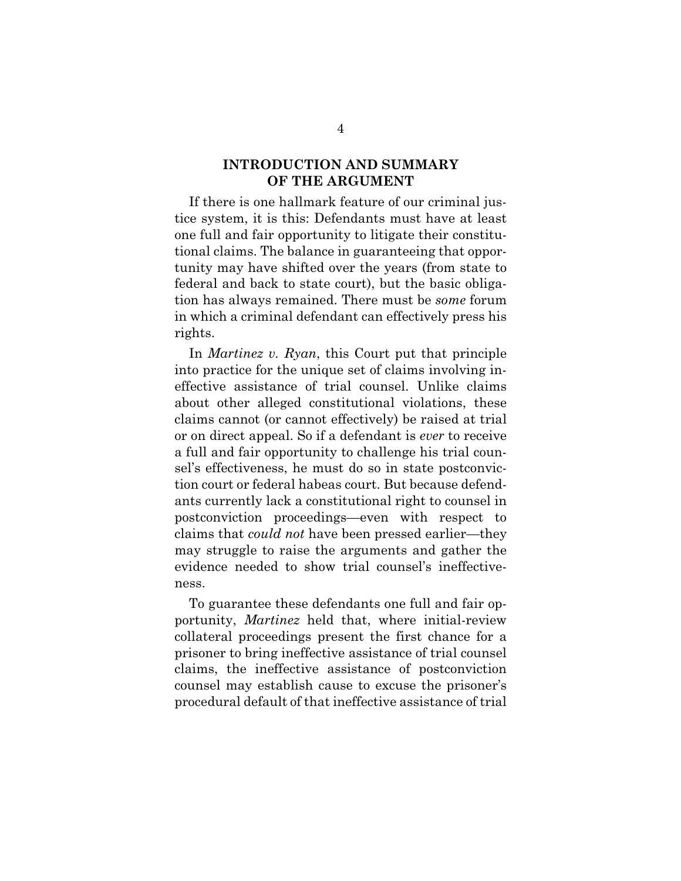#### **INTRODUCTION AND SUMMARY OF THE ARGUMENT**

If there is one hallmark feature of our criminal justice system, it is this: Defendants must have at least one full and fair opportunity to litigate their constitutional claims. The balance in guaranteeing that opportunity may have shifted over the years (from state to federal and back to state court), but the basic obligation has always remained. There must be *some* forum in which a criminal defendant can effectively press his rights.

In *Martinez v. Ryan*, this Court put that principle into practice for the unique set of claims involving ineffective assistance of trial counsel. Unlike claims about other alleged constitutional violations, these claims cannot (or cannot effectively) be raised at trial or on direct appeal. So if a defendant is *ever* to receive a full and fair opportunity to challenge his trial counsel's effectiveness, he must do so in state postconviction court or federal habeas court. But because defendants currently lack a constitutional right to counsel in postconviction proceedings—even with respect to claims that *could not* have been pressed earlier—they may struggle to raise the arguments and gather the evidence needed to show trial counsel's ineffectiveness.

To guarantee these defendants one full and fair opportunity, *Martinez* held that, where initial-review collateral proceedings present the first chance for a prisoner to bring ineffective assistance of trial counsel claims, the ineffective assistance of postconviction counsel may establish cause to excuse the prisoner's procedural default of that ineffective assistance of trial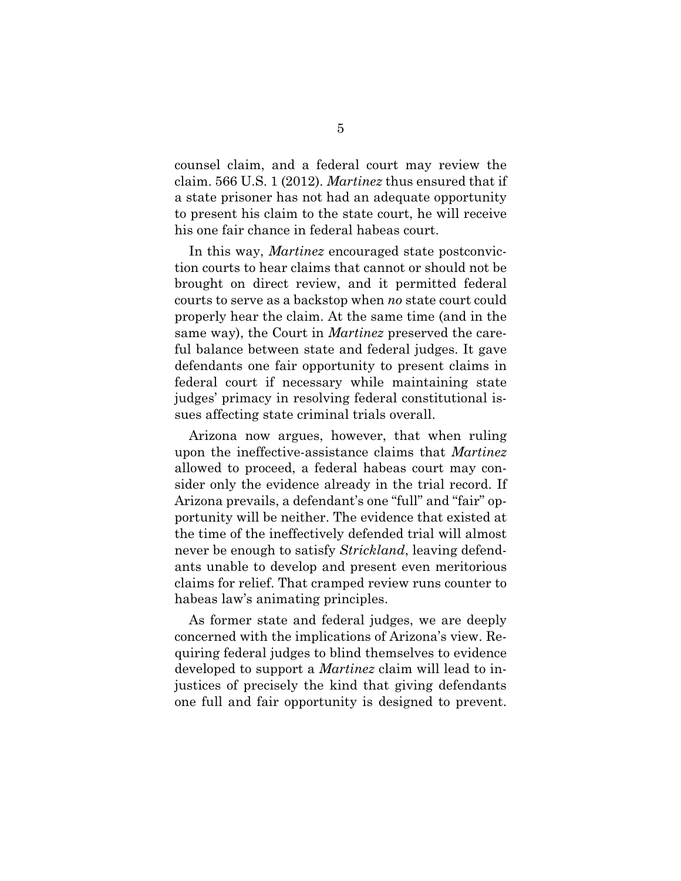counsel claim, and a federal court may review the claim. 566 U.S. 1 (2012). *Martinez* thus ensured that if a state prisoner has not had an adequate opportunity to present his claim to the state court, he will receive his one fair chance in federal habeas court.

In this way, *Martinez* encouraged state postconviction courts to hear claims that cannot or should not be brought on direct review, and it permitted federal courts to serve as a backstop when *no* state court could properly hear the claim. At the same time (and in the same way), the Court in *Martinez* preserved the careful balance between state and federal judges. It gave defendants one fair opportunity to present claims in federal court if necessary while maintaining state judges' primacy in resolving federal constitutional issues affecting state criminal trials overall.

Arizona now argues, however, that when ruling upon the ineffective-assistance claims that *Martinez* allowed to proceed, a federal habeas court may consider only the evidence already in the trial record. If Arizona prevails, a defendant's one "full" and "fair" opportunity will be neither. The evidence that existed at the time of the ineffectively defended trial will almost never be enough to satisfy *Strickland*, leaving defendants unable to develop and present even meritorious claims for relief. That cramped review runs counter to habeas law's animating principles.

As former state and federal judges, we are deeply concerned with the implications of Arizona's view. Requiring federal judges to blind themselves to evidence developed to support a *Martinez* claim will lead to injustices of precisely the kind that giving defendants one full and fair opportunity is designed to prevent.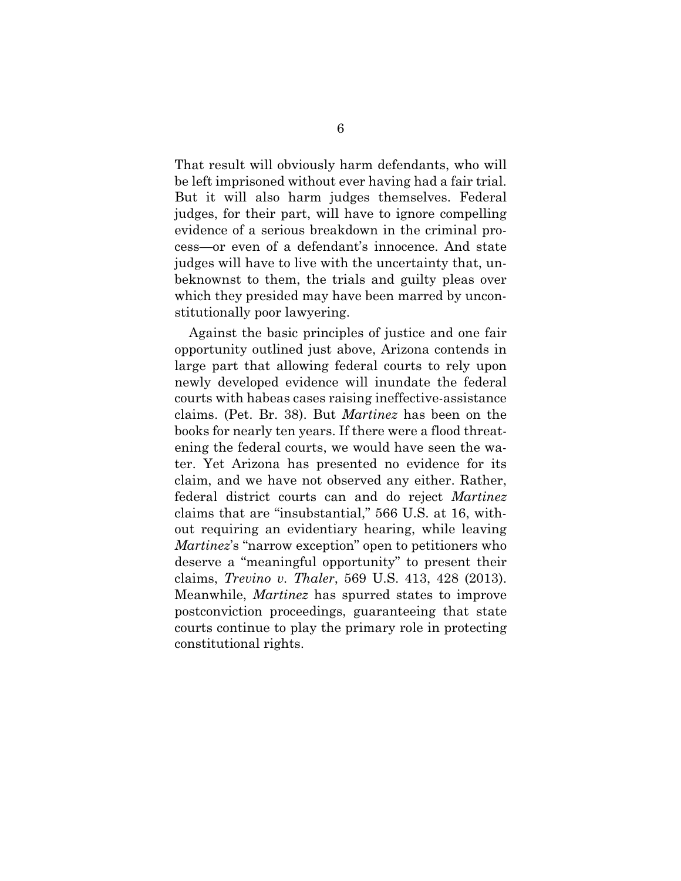That result will obviously harm defendants, who will be left imprisoned without ever having had a fair trial. But it will also harm judges themselves. Federal judges, for their part, will have to ignore compelling evidence of a serious breakdown in the criminal process—or even of a defendant's innocence. And state judges will have to live with the uncertainty that, unbeknownst to them, the trials and guilty pleas over which they presided may have been marred by unconstitutionally poor lawyering.

Against the basic principles of justice and one fair opportunity outlined just above, Arizona contends in large part that allowing federal courts to rely upon newly developed evidence will inundate the federal courts with habeas cases raising ineffective-assistance claims. (Pet. Br. 38). But *Martinez* has been on the books for nearly ten years. If there were a flood threatening the federal courts, we would have seen the water. Yet Arizona has presented no evidence for its claim, and we have not observed any either. Rather, federal district courts can and do reject *Martinez*  claims that are "insubstantial," 566 U.S. at 16, without requiring an evidentiary hearing, while leaving *Martinez*'s "narrow exception" open to petitioners who deserve a "meaningful opportunity" to present their claims, *Trevino v. Thaler*, 569 U.S. 413, 428 (2013). Meanwhile, *Martinez* has spurred states to improve postconviction proceedings, guaranteeing that state courts continue to play the primary role in protecting constitutional rights.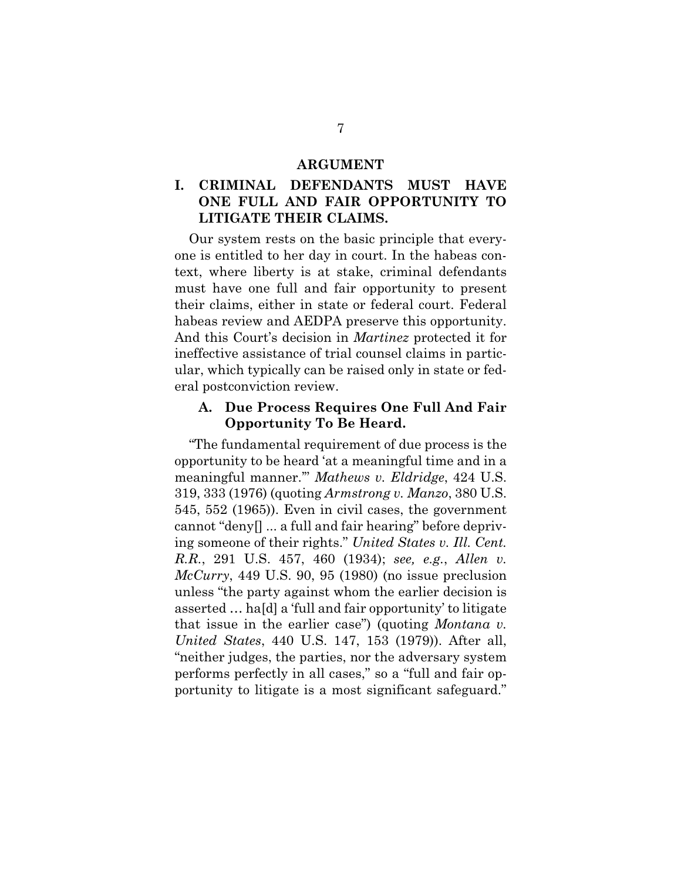#### **ARGUMENT**

#### **I. CRIMINAL DEFENDANTS MUST HAVE ONE FULL AND FAIR OPPORTUNITY TO LITIGATE THEIR CLAIMS.**

Our system rests on the basic principle that everyone is entitled to her day in court. In the habeas context, where liberty is at stake, criminal defendants must have one full and fair opportunity to present their claims, either in state or federal court. Federal habeas review and AEDPA preserve this opportunity. And this Court's decision in *Martinez* protected it for ineffective assistance of trial counsel claims in particular, which typically can be raised only in state or federal postconviction review.

#### **A. Due Process Requires One Full And Fair Opportunity To Be Heard.**

"The fundamental requirement of due process is the opportunity to be heard 'at a meaningful time and in a meaningful manner.'" *Mathews v. Eldridge*, 424 U.S. 319, 333 (1976) (quoting *Armstrong v. Manzo*, 380 U.S. 545, 552 (1965)). Even in civil cases, the government cannot "deny[] ... a full and fair hearing" before depriving someone of their rights." *United States v. Ill. Cent. R.R.*, 291 U.S. 457, 460 (1934); *see, e.g.*, *Allen v. McCurry*, 449 U.S. 90, 95 (1980) (no issue preclusion unless "the party against whom the earlier decision is asserted … ha[d] a 'full and fair opportunity' to litigate that issue in the earlier case") (quoting *Montana v. United States*, 440 U.S. 147, 153 (1979)). After all, "neither judges, the parties, nor the adversary system performs perfectly in all cases," so a "full and fair opportunity to litigate is a most significant safeguard."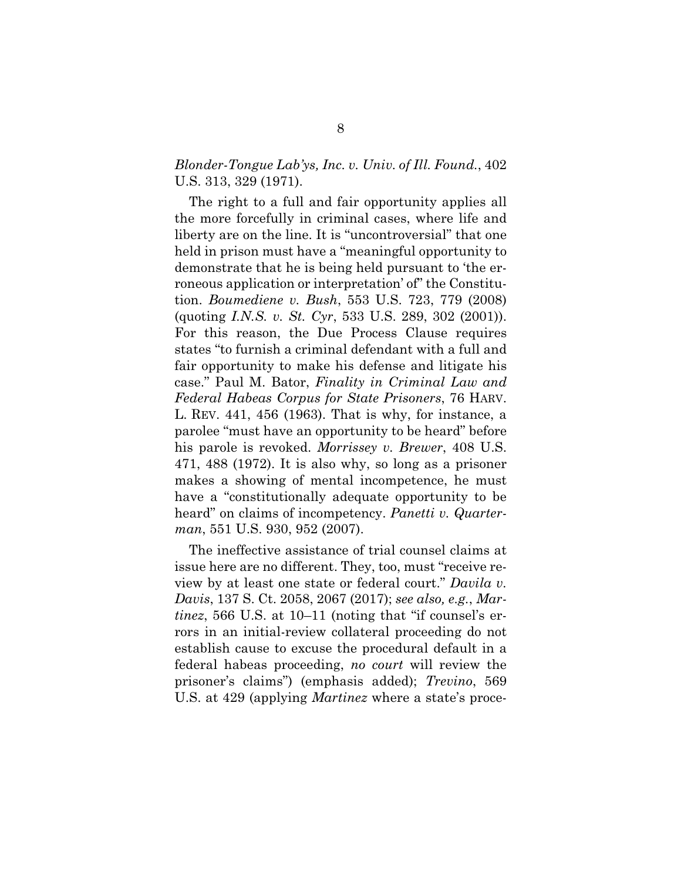#### *Blonder-Tongue Lab'ys, Inc. v. Univ. of Ill. Found.*, 402 U.S. 313, 329 (1971).

The right to a full and fair opportunity applies all the more forcefully in criminal cases, where life and liberty are on the line. It is "uncontroversial" that one held in prison must have a "meaningful opportunity to demonstrate that he is being held pursuant to 'the erroneous application or interpretation' of" the Constitution. *Boumediene v. Bush*, 553 U.S. 723, 779 (2008) (quoting *I.N.S. v. St. Cyr*, 533 U.S. 289, 302 (2001)). For this reason, the Due Process Clause requires states "to furnish a criminal defendant with a full and fair opportunity to make his defense and litigate his case." Paul M. Bator, *Finality in Criminal Law and Federal Habeas Corpus for State Prisoners*, 76 HARV. L. REV. 441, 456 (1963). That is why, for instance, a parolee "must have an opportunity to be heard" before his parole is revoked. *Morrissey v. Brewer*, 408 U.S. 471, 488 (1972). It is also why, so long as a prisoner makes a showing of mental incompetence, he must have a "constitutionally adequate opportunity to be heard" on claims of incompetency. *Panetti v. Quarterman*, 551 U.S. 930, 952 (2007).

The ineffective assistance of trial counsel claims at issue here are no different. They, too, must "receive review by at least one state or federal court." *Davila v. Davis*, 137 S. Ct. 2058, 2067 (2017); *see also, e.g.*, *Martinez*, 566 U.S. at 10–11 (noting that "if counsel's errors in an initial-review collateral proceeding do not establish cause to excuse the procedural default in a federal habeas proceeding, *no court* will review the prisoner's claims") (emphasis added); *Trevino*, 569 U.S. at 429 (applying *Martinez* where a state's proce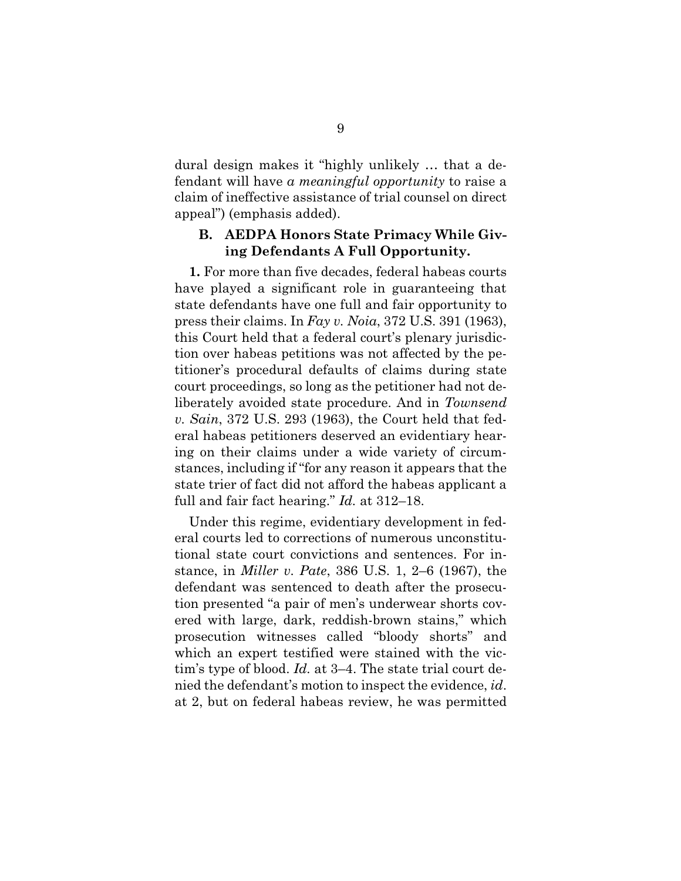dural design makes it "highly unlikely … that a defendant will have *a meaningful opportunity* to raise a claim of ineffective assistance of trial counsel on direct appeal") (emphasis added).

#### **B. AEDPA Honors State Primacy While Giving Defendants A Full Opportunity.**

**1.** For more than five decades, federal habeas courts have played a significant role in guaranteeing that state defendants have one full and fair opportunity to press their claims. In *Fay v. Noia*, 372 U.S. 391 (1963), this Court held that a federal court's plenary jurisdiction over habeas petitions was not affected by the petitioner's procedural defaults of claims during state court proceedings, so long as the petitioner had not deliberately avoided state procedure. And in *Townsend v. Sain*, 372 U.S. 293 (1963), the Court held that federal habeas petitioners deserved an evidentiary hearing on their claims under a wide variety of circumstances, including if "for any reason it appears that the state trier of fact did not afford the habeas applicant a full and fair fact hearing." *Id.* at 312–18.

Under this regime, evidentiary development in federal courts led to corrections of numerous unconstitutional state court convictions and sentences. For instance, in *Miller v. Pate*, 386 U.S. 1, 2–6 (1967), the defendant was sentenced to death after the prosecution presented "a pair of men's underwear shorts covered with large, dark, reddish-brown stains," which prosecution witnesses called "bloody shorts" and which an expert testified were stained with the victim's type of blood. *Id.* at 3–4. The state trial court denied the defendant's motion to inspect the evidence, *id*. at 2, but on federal habeas review, he was permitted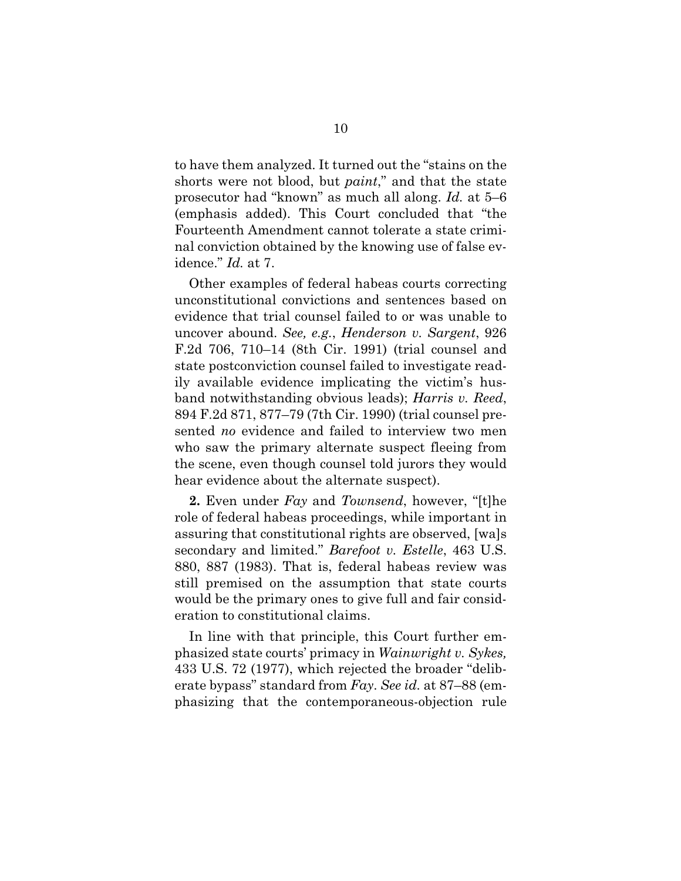to have them analyzed. It turned out the "stains on the shorts were not blood, but *paint*," and that the state prosecutor had "known" as much all along. *Id.* at 5–6 (emphasis added). This Court concluded that "the Fourteenth Amendment cannot tolerate a state criminal conviction obtained by the knowing use of false evidence." *Id.* at 7.

Other examples of federal habeas courts correcting unconstitutional convictions and sentences based on evidence that trial counsel failed to or was unable to uncover abound. *See, e.g.*, *Henderson v. Sargent*, 926 F.2d 706, 710–14 (8th Cir. 1991) (trial counsel and state postconviction counsel failed to investigate readily available evidence implicating the victim's husband notwithstanding obvious leads); *Harris v. Reed*, 894 F.2d 871, 877–79 (7th Cir. 1990) (trial counsel presented *no* evidence and failed to interview two men who saw the primary alternate suspect fleeing from the scene, even though counsel told jurors they would hear evidence about the alternate suspect).

**2.** Even under *Fay* and *Townsend*, however, "[t]he role of federal habeas proceedings, while important in assuring that constitutional rights are observed, [wa]s secondary and limited." *Barefoot v. Estelle*, 463 U.S. 880, 887 (1983). That is, federal habeas review was still premised on the assumption that state courts would be the primary ones to give full and fair consideration to constitutional claims.

In line with that principle, this Court further emphasized state courts' primacy in *Wainwright v. Sykes,*  433 U.S. 72 (1977), which rejected the broader "deliberate bypass" standard from *Fay*. *See id.* at 87–88 (emphasizing that the contemporaneous-objection rule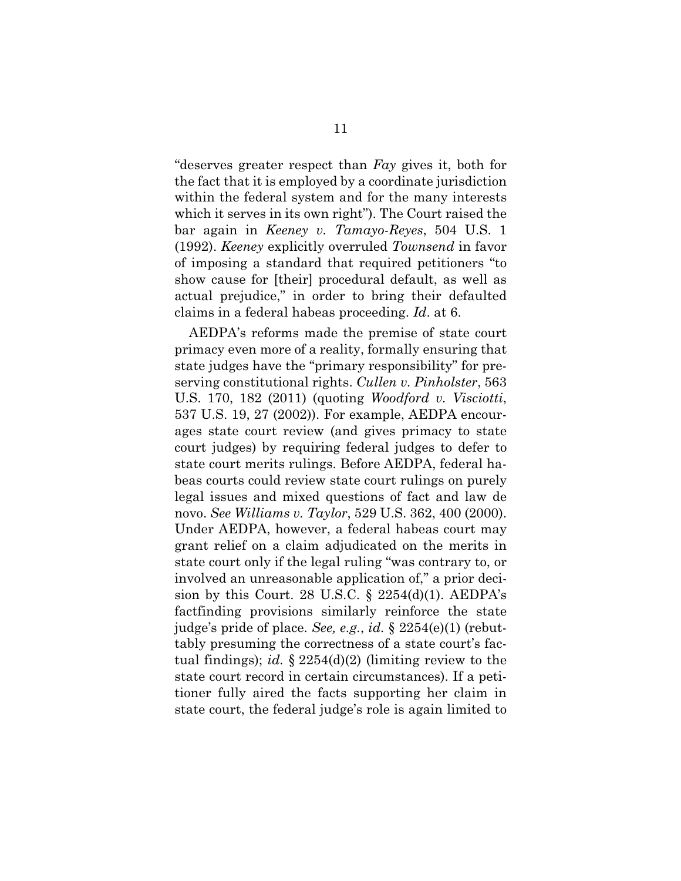"deserves greater respect than *Fay* gives it, both for the fact that it is employed by a coordinate jurisdiction within the federal system and for the many interests which it serves in its own right"). The Court raised the bar again in *Keeney v. Tamayo-Reyes*, 504 U.S. 1 (1992). *Keeney* explicitly overruled *Townsend* in favor of imposing a standard that required petitioners "to show cause for [their] procedural default, as well as actual prejudice," in order to bring their defaulted claims in a federal habeas proceeding. *Id*. at 6.

AEDPA's reforms made the premise of state court primacy even more of a reality, formally ensuring that state judges have the "primary responsibility" for preserving constitutional rights. *Cullen v. Pinholster*, 563 U.S. 170, 182 (2011) (quoting *Woodford v. Visciotti*, 537 U.S. 19, 27 (2002)). For example, AEDPA encourages state court review (and gives primacy to state court judges) by requiring federal judges to defer to state court merits rulings. Before AEDPA, federal habeas courts could review state court rulings on purely legal issues and mixed questions of fact and law de novo. *See Williams v. Taylor*, 529 U.S. 362, 400 (2000). Under AEDPA, however, a federal habeas court may grant relief on a claim adjudicated on the merits in state court only if the legal ruling "was contrary to, or involved an unreasonable application of," a prior decision by this Court. 28 U.S.C.  $\S$  2254(d)(1). AEDPA's factfinding provisions similarly reinforce the state judge's pride of place. *See, e.g.*, *id.* § 2254(e)(1) (rebuttably presuming the correctness of a state court's factual findings); *id.* § 2254(d)(2) (limiting review to the state court record in certain circumstances). If a petitioner fully aired the facts supporting her claim in state court, the federal judge's role is again limited to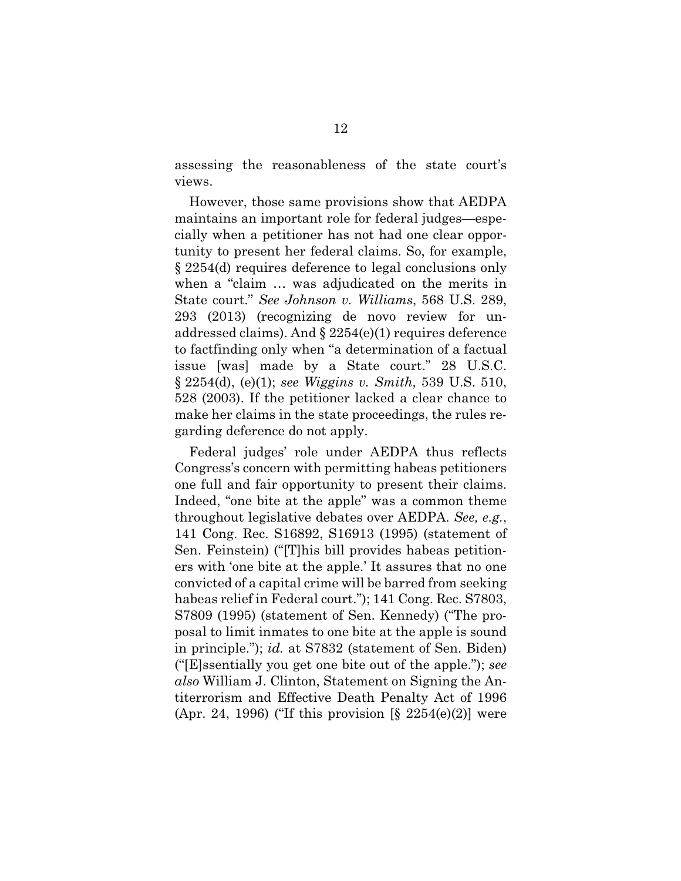assessing the reasonableness of the state court's views.

However, those same provisions show that AEDPA maintains an important role for federal judges—especially when a petitioner has not had one clear opportunity to present her federal claims. So, for example, § 2254(d) requires deference to legal conclusions only when a "claim … was adjudicated on the merits in State court." *See Johnson v. Williams*, 568 U.S. 289, 293 (2013) (recognizing de novo review for unaddressed claims). And § 2254(e)(1) requires deference to factfinding only when "a determination of a factual issue [was] made by a State court." 28 U.S.C. § 2254(d), (e)(1); *see Wiggins v. Smith*, 539 U.S. 510, 528 (2003). If the petitioner lacked a clear chance to make her claims in the state proceedings, the rules regarding deference do not apply.

Federal judges' role under AEDPA thus reflects Congress's concern with permitting habeas petitioners one full and fair opportunity to present their claims. Indeed, "one bite at the apple" was a common theme throughout legislative debates over AEDPA. *See, e.g.*, 141 Cong. Rec. S16892, S16913 (1995) (statement of Sen. Feinstein) ("[T]his bill provides habeas petitioners with 'one bite at the apple.' It assures that no one convicted of a capital crime will be barred from seeking habeas relief in Federal court."); 141 Cong. Rec. S7803, S7809 (1995) (statement of Sen. Kennedy) ("The proposal to limit inmates to one bite at the apple is sound in principle."); *id.* at S7832 (statement of Sen. Biden) ("[E]ssentially you get one bite out of the apple."); *see also* William J. Clinton, Statement on Signing the Antiterrorism and Effective Death Penalty Act of 1996 (Apr. 24, 1996) ("If this provision  $\S$  2254(e)(2)] were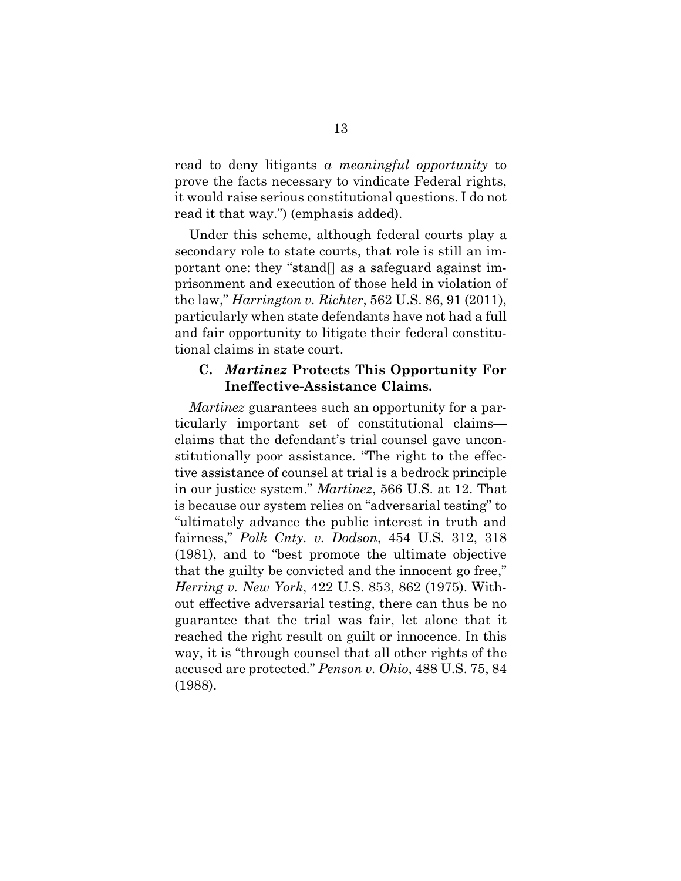read to deny litigants *a meaningful opportunity* to prove the facts necessary to vindicate Federal rights, it would raise serious constitutional questions. I do not read it that way.") (emphasis added).

Under this scheme, although federal courts play a secondary role to state courts, that role is still an important one: they "stand[] as a safeguard against imprisonment and execution of those held in violation of the law," *Harrington v. Richter*, 562 U.S. 86, 91 (2011), particularly when state defendants have not had a full and fair opportunity to litigate their federal constitutional claims in state court.

#### **C.** *Martinez* **Protects This Opportunity For Ineffective-Assistance Claims.**

*Martinez* guarantees such an opportunity for a particularly important set of constitutional claims claims that the defendant's trial counsel gave unconstitutionally poor assistance. "The right to the effective assistance of counsel at trial is a bedrock principle in our justice system." *Martinez*, 566 U.S. at 12. That is because our system relies on "adversarial testing" to "ultimately advance the public interest in truth and fairness," *Polk Cnty. v. Dodson*, 454 U.S. 312, 318 (1981), and to "best promote the ultimate objective that the guilty be convicted and the innocent go free," *Herring v. New York*, 422 U.S. 853, 862 (1975). Without effective adversarial testing, there can thus be no guarantee that the trial was fair, let alone that it reached the right result on guilt or innocence. In this way, it is "through counsel that all other rights of the accused are protected." *Penson v. Ohio*, 488 U.S. 75, 84 (1988).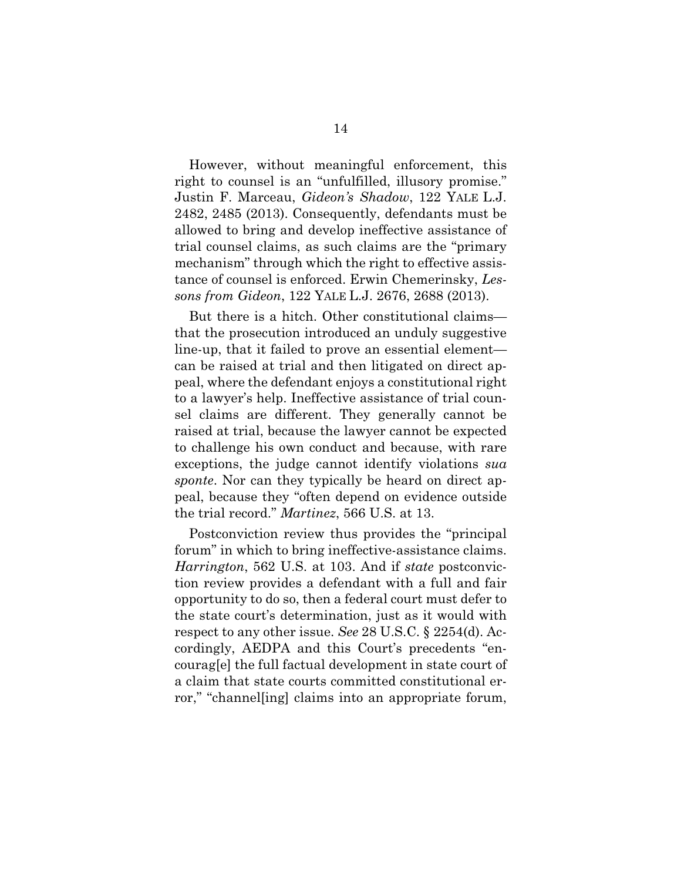However, without meaningful enforcement, this right to counsel is an "unfulfilled, illusory promise." Justin F. Marceau, *Gideon's Shadow*, 122 YALE L.J. 2482, 2485 (2013). Consequently, defendants must be allowed to bring and develop ineffective assistance of trial counsel claims, as such claims are the "primary mechanism" through which the right to effective assistance of counsel is enforced. Erwin Chemerinsky, *Lessons from Gideon*, 122 YALE L.J. 2676, 2688 (2013).

But there is a hitch. Other constitutional claims that the prosecution introduced an unduly suggestive line-up, that it failed to prove an essential element can be raised at trial and then litigated on direct appeal, where the defendant enjoys a constitutional right to a lawyer's help. Ineffective assistance of trial counsel claims are different. They generally cannot be raised at trial, because the lawyer cannot be expected to challenge his own conduct and because, with rare exceptions, the judge cannot identify violations *sua sponte*. Nor can they typically be heard on direct appeal, because they "often depend on evidence outside the trial record." *Martinez*, 566 U.S. at 13.

Postconviction review thus provides the "principal forum" in which to bring ineffective-assistance claims. *Harrington*, 562 U.S. at 103. And if *state* postconviction review provides a defendant with a full and fair opportunity to do so, then a federal court must defer to the state court's determination, just as it would with respect to any other issue. *See* 28 U.S.C. § 2254(d). Accordingly, AEDPA and this Court's precedents "encourag[e] the full factual development in state court of a claim that state courts committed constitutional error," "channel[ing] claims into an appropriate forum,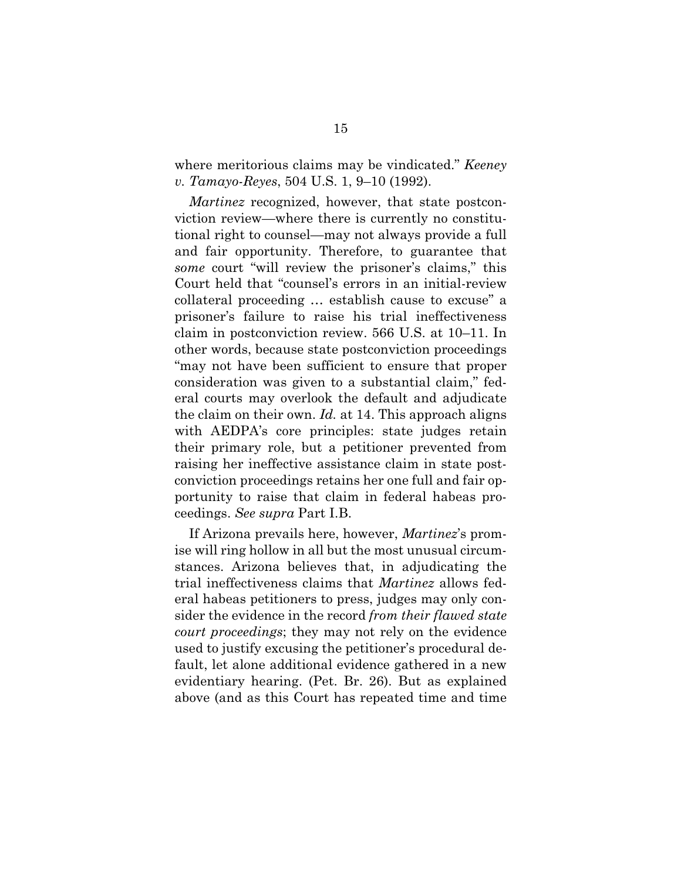where meritorious claims may be vindicated." *Keeney v. Tamayo-Reyes*, 504 U.S. 1, 9–10 (1992).

*Martinez* recognized, however, that state postconviction review—where there is currently no constitutional right to counsel—may not always provide a full and fair opportunity. Therefore, to guarantee that *some* court "will review the prisoner's claims," this Court held that "counsel's errors in an initial-review collateral proceeding … establish cause to excuse" a prisoner's failure to raise his trial ineffectiveness claim in postconviction review. 566 U.S. at 10–11. In other words, because state postconviction proceedings "may not have been sufficient to ensure that proper consideration was given to a substantial claim," federal courts may overlook the default and adjudicate the claim on their own. *Id.* at 14. This approach aligns with AEDPA's core principles: state judges retain their primary role, but a petitioner prevented from raising her ineffective assistance claim in state postconviction proceedings retains her one full and fair opportunity to raise that claim in federal habeas proceedings. *See supra* Part I.B.

If Arizona prevails here, however, *Martinez*'s promise will ring hollow in all but the most unusual circumstances. Arizona believes that, in adjudicating the trial ineffectiveness claims that *Martinez* allows federal habeas petitioners to press, judges may only consider the evidence in the record *from their flawed state court proceedings*; they may not rely on the evidence used to justify excusing the petitioner's procedural default, let alone additional evidence gathered in a new evidentiary hearing. (Pet. Br. 26). But as explained above (and as this Court has repeated time and time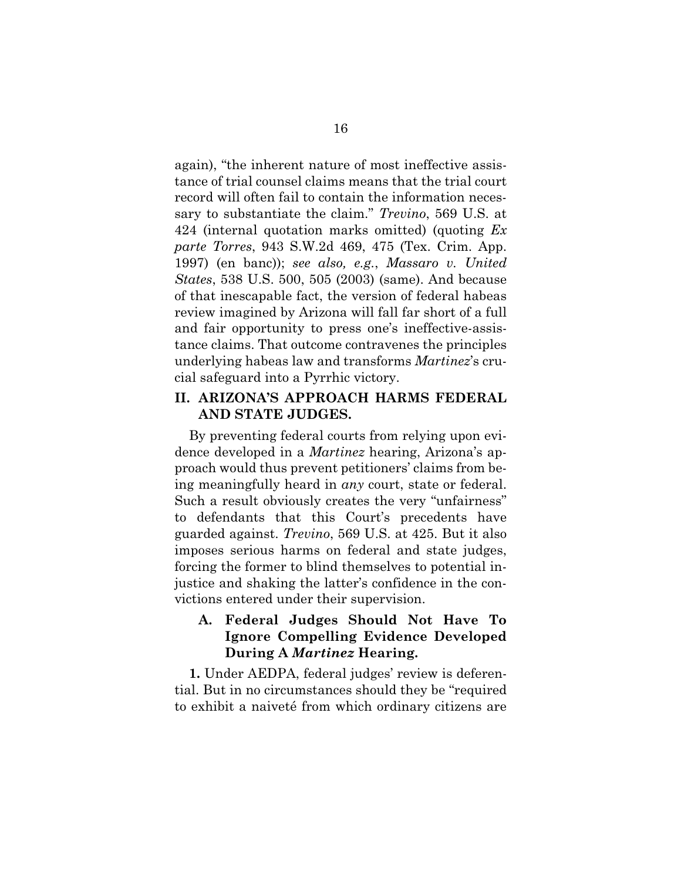again), "the inherent nature of most ineffective assistance of trial counsel claims means that the trial court record will often fail to contain the information necessary to substantiate the claim." *Trevino*, 569 U.S. at 424 (internal quotation marks omitted) (quoting *Ex parte Torres*, 943 S.W.2d 469, 475 (Tex. Crim. App. 1997) (en banc)); *see also, e.g.*, *Massaro v. United States*, 538 U.S. 500, 505 (2003) (same). And because of that inescapable fact, the version of federal habeas review imagined by Arizona will fall far short of a full and fair opportunity to press one's ineffective-assistance claims. That outcome contravenes the principles underlying habeas law and transforms *Martinez*'s crucial safeguard into a Pyrrhic victory.

#### **II. ARIZONA'S APPROACH HARMS FEDERAL AND STATE JUDGES.**

By preventing federal courts from relying upon evidence developed in a *Martinez* hearing, Arizona's approach would thus prevent petitioners' claims from being meaningfully heard in *any* court, state or federal. Such a result obviously creates the very "unfairness" to defendants that this Court's precedents have guarded against. *Trevino*, 569 U.S. at 425. But it also imposes serious harms on federal and state judges, forcing the former to blind themselves to potential injustice and shaking the latter's confidence in the convictions entered under their supervision.

#### **A. Federal Judges Should Not Have To Ignore Compelling Evidence Developed During A** *Martinez* **Hearing.**

**1.** Under AEDPA, federal judges' review is deferential. But in no circumstances should they be "required to exhibit a naiveté from which ordinary citizens are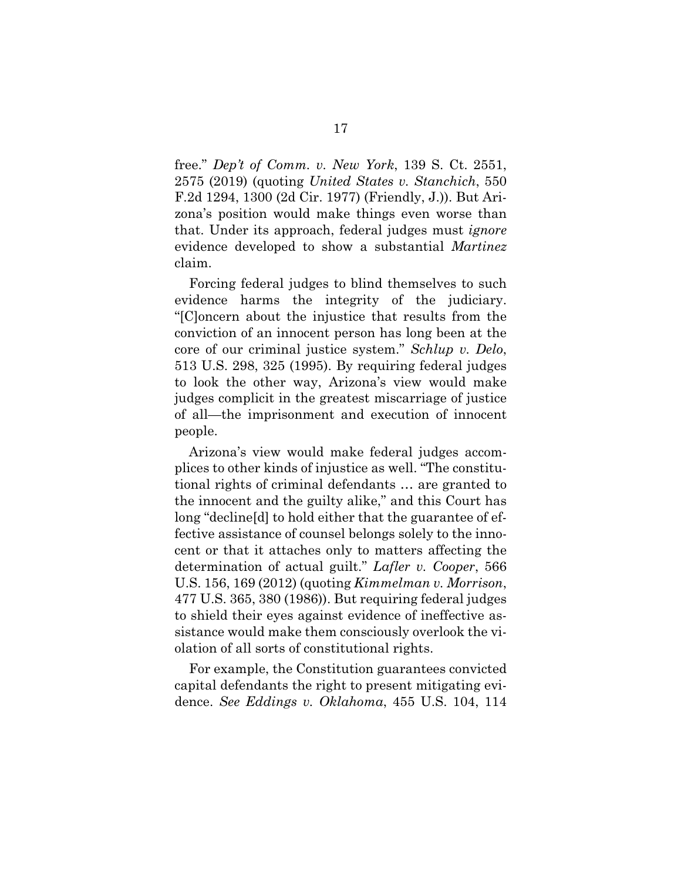free." *Dep't of Comm. v. New York*, 139 S. Ct. 2551, 2575 (2019) (quoting *United States v. Stanchich*, 550 F.2d 1294, 1300 (2d Cir. 1977) (Friendly, J.)). But Arizona's position would make things even worse than that. Under its approach, federal judges must *ignore*  evidence developed to show a substantial *Martinez*  claim.

Forcing federal judges to blind themselves to such evidence harms the integrity of the judiciary. "[C]oncern about the injustice that results from the conviction of an innocent person has long been at the core of our criminal justice system." *Schlup v. Delo*, 513 U.S. 298, 325 (1995). By requiring federal judges to look the other way, Arizona's view would make judges complicit in the greatest miscarriage of justice of all—the imprisonment and execution of innocent people.

Arizona's view would make federal judges accomplices to other kinds of injustice as well. "The constitutional rights of criminal defendants … are granted to the innocent and the guilty alike," and this Court has long "decline[d] to hold either that the guarantee of effective assistance of counsel belongs solely to the innocent or that it attaches only to matters affecting the determination of actual guilt." *Lafler v. Cooper*, 566 U.S. 156, 169 (2012) (quoting *Kimmelman v. Morrison*, 477 U.S. 365, 380 (1986)). But requiring federal judges to shield their eyes against evidence of ineffective assistance would make them consciously overlook the violation of all sorts of constitutional rights.

For example, the Constitution guarantees convicted capital defendants the right to present mitigating evidence. *See Eddings v. Oklahoma*, 455 U.S. 104, 114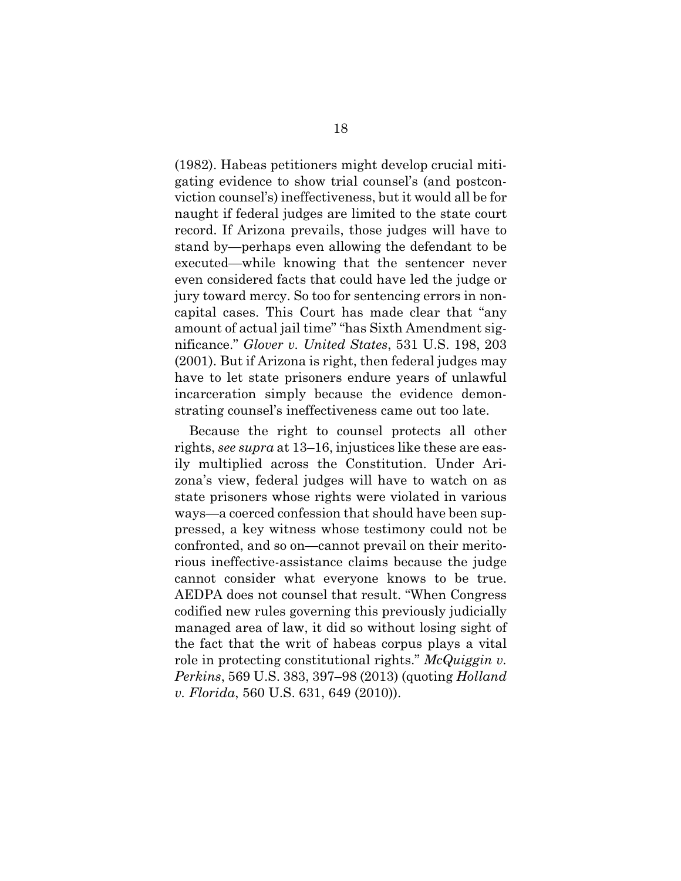(1982). Habeas petitioners might develop crucial mitigating evidence to show trial counsel's (and postconviction counsel's) ineffectiveness, but it would all be for naught if federal judges are limited to the state court record. If Arizona prevails, those judges will have to stand by—perhaps even allowing the defendant to be executed—while knowing that the sentencer never even considered facts that could have led the judge or jury toward mercy. So too for sentencing errors in noncapital cases. This Court has made clear that "any amount of actual jail time" "has Sixth Amendment significance." *Glover v. United States*, 531 U.S. 198, 203 (2001). But if Arizona is right, then federal judges may have to let state prisoners endure years of unlawful incarceration simply because the evidence demonstrating counsel's ineffectiveness came out too late.

Because the right to counsel protects all other rights, *see supra* at 13–16, injustices like these are easily multiplied across the Constitution. Under Arizona's view, federal judges will have to watch on as state prisoners whose rights were violated in various ways—a coerced confession that should have been suppressed, a key witness whose testimony could not be confronted, and so on—cannot prevail on their meritorious ineffective-assistance claims because the judge cannot consider what everyone knows to be true. AEDPA does not counsel that result. "When Congress codified new rules governing this previously judicially managed area of law, it did so without losing sight of the fact that the writ of habeas corpus plays a vital role in protecting constitutional rights." *McQuiggin v. Perkins*, 569 U.S. 383, 397–98 (2013) (quoting *Holland v. Florida*, 560 U.S. 631, 649 (2010)).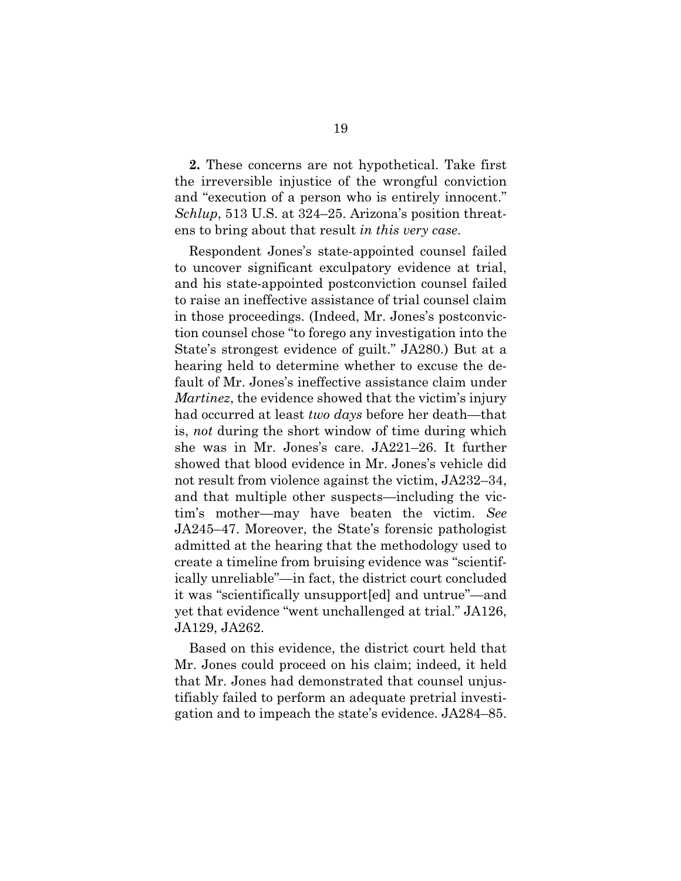**2.** These concerns are not hypothetical. Take first the irreversible injustice of the wrongful conviction and "execution of a person who is entirely innocent." *Schlup*, 513 U.S. at 324–25. Arizona's position threatens to bring about that result *in this very case*.

Respondent Jones's state-appointed counsel failed to uncover significant exculpatory evidence at trial, and his state-appointed postconviction counsel failed to raise an ineffective assistance of trial counsel claim in those proceedings. (Indeed, Mr. Jones's postconviction counsel chose "to forego any investigation into the State's strongest evidence of guilt." JA280.) But at a hearing held to determine whether to excuse the default of Mr. Jones's ineffective assistance claim under *Martinez*, the evidence showed that the victim's injury had occurred at least *two days* before her death—that is, *not* during the short window of time during which she was in Mr. Jones's care. JA221–26. It further showed that blood evidence in Mr. Jones's vehicle did not result from violence against the victim, JA232–34, and that multiple other suspects—including the victim's mother—may have beaten the victim. *See*  JA245–47. Moreover, the State's forensic pathologist admitted at the hearing that the methodology used to create a timeline from bruising evidence was "scientifically unreliable"—in fact, the district court concluded it was "scientifically unsupport[ed] and untrue"—and yet that evidence "went unchallenged at trial." JA126, JA129, JA262.

Based on this evidence, the district court held that Mr. Jones could proceed on his claim; indeed, it held that Mr. Jones had demonstrated that counsel unjustifiably failed to perform an adequate pretrial investigation and to impeach the state's evidence. JA284–85.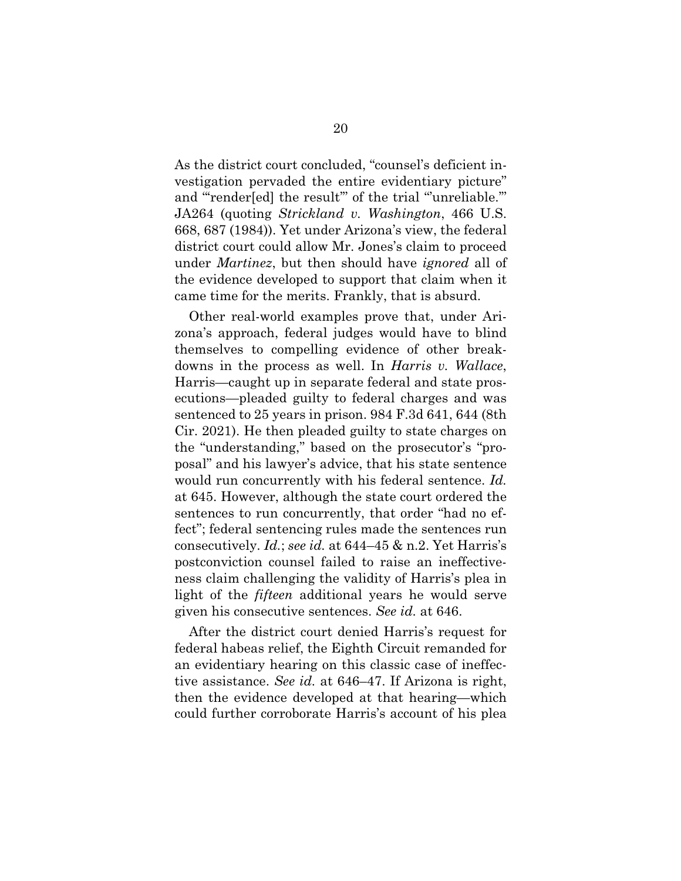As the district court concluded, "counsel's deficient investigation pervaded the entire evidentiary picture" and "render[ed] the result" of the trial "unreliable." JA264 (quoting *Strickland v. Washington*, 466 U.S. 668, 687 (1984)). Yet under Arizona's view, the federal district court could allow Mr. Jones's claim to proceed under *Martinez*, but then should have *ignored* all of the evidence developed to support that claim when it came time for the merits. Frankly, that is absurd.

Other real-world examples prove that, under Arizona's approach, federal judges would have to blind themselves to compelling evidence of other breakdowns in the process as well. In *Harris v. Wallace*, Harris—caught up in separate federal and state prosecutions—pleaded guilty to federal charges and was sentenced to 25 years in prison. 984 F.3d 641, 644 (8th Cir. 2021). He then pleaded guilty to state charges on the "understanding," based on the prosecutor's "proposal" and his lawyer's advice, that his state sentence would run concurrently with his federal sentence. *Id.*  at 645. However, although the state court ordered the sentences to run concurrently, that order "had no effect"; federal sentencing rules made the sentences run consecutively. *Id.*; *see id.* at 644–45 & n.2. Yet Harris's postconviction counsel failed to raise an ineffectiveness claim challenging the validity of Harris's plea in light of the *fifteen* additional years he would serve given his consecutive sentences. *See id.* at 646.

After the district court denied Harris's request for federal habeas relief, the Eighth Circuit remanded for an evidentiary hearing on this classic case of ineffective assistance. *See id.* at 646–47. If Arizona is right, then the evidence developed at that hearing—which could further corroborate Harris's account of his plea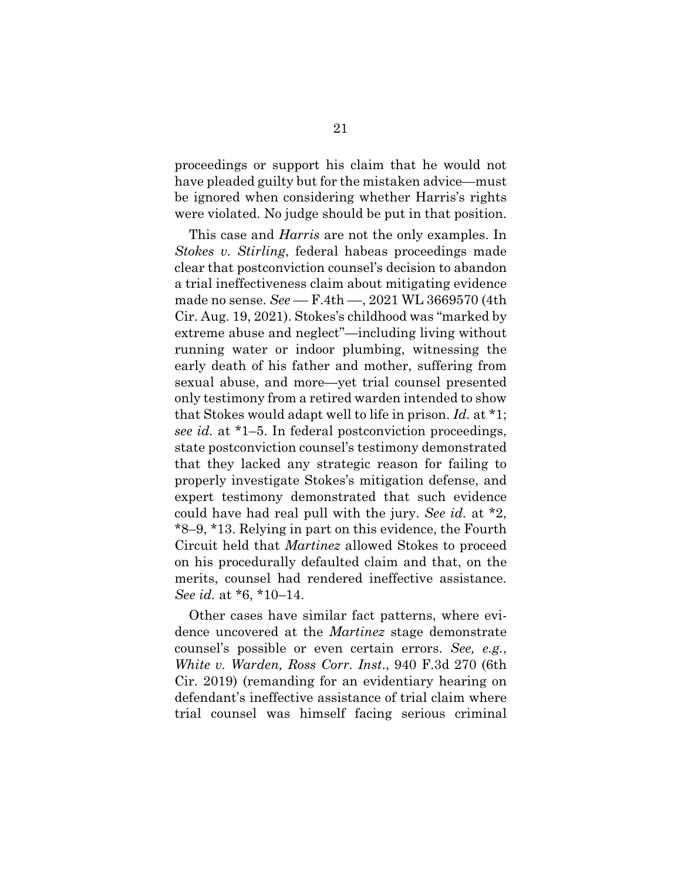proceedings or support his claim that he would not have pleaded guilty but for the mistaken advice—must be ignored when considering whether Harris's rights were violated. No judge should be put in that position.

This case and *Harris* are not the only examples. In *Stokes v. Stirling*, federal habeas proceedings made clear that postconviction counsel's decision to abandon a trial ineffectiveness claim about mitigating evidence made no sense. *See* –– F.4th ––, 2021 WL 3669570 (4th Cir. Aug. 19, 2021). Stokes's childhood was "marked by extreme abuse and neglect"—including living without running water or indoor plumbing, witnessing the early death of his father and mother, suffering from sexual abuse, and more—yet trial counsel presented only testimony from a retired warden intended to show that Stokes would adapt well to life in prison. *Id.* at \*1; *see id.* at \*1–5. In federal postconviction proceedings, state postconviction counsel's testimony demonstrated that they lacked any strategic reason for failing to properly investigate Stokes's mitigation defense, and expert testimony demonstrated that such evidence could have had real pull with the jury. *See id.* at \*2, \*8–9, \*13. Relying in part on this evidence, the Fourth Circuit held that *Martinez* allowed Stokes to proceed on his procedurally defaulted claim and that, on the merits, counsel had rendered ineffective assistance. *See id.* at \*6, \*10–14.

Other cases have similar fact patterns, where evidence uncovered at the *Martinez* stage demonstrate counsel's possible or even certain errors. *See, e.g.*, *White v. Warden, Ross Corr. Inst*., 940 F.3d 270 (6th Cir. 2019) (remanding for an evidentiary hearing on defendant's ineffective assistance of trial claim where trial counsel was himself facing serious criminal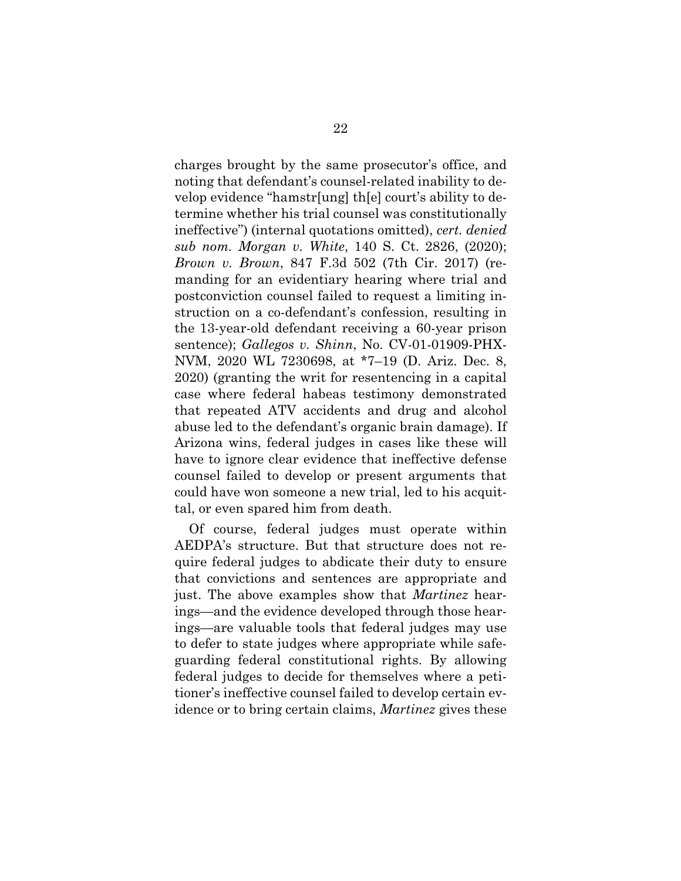charges brought by the same prosecutor's office, and noting that defendant's counsel-related inability to develop evidence "hamstr[ung] th[e] court's ability to determine whether his trial counsel was constitutionally ineffective") (internal quotations omitted), *cert. denied sub nom. Morgan v. White*, 140 S. Ct. 2826, (2020); *Brown v. Brown*, 847 F.3d 502 (7th Cir. 2017) (remanding for an evidentiary hearing where trial and postconviction counsel failed to request a limiting instruction on a co-defendant's confession, resulting in the 13-year-old defendant receiving a 60-year prison sentence); *Gallegos v. Shinn*, No. CV-01-01909-PHX-NVM, 2020 WL 7230698, at \*7–19 (D. Ariz. Dec. 8, 2020) (granting the writ for resentencing in a capital case where federal habeas testimony demonstrated that repeated ATV accidents and drug and alcohol abuse led to the defendant's organic brain damage). If Arizona wins, federal judges in cases like these will have to ignore clear evidence that ineffective defense counsel failed to develop or present arguments that could have won someone a new trial, led to his acquittal, or even spared him from death.

Of course, federal judges must operate within AEDPA's structure. But that structure does not require federal judges to abdicate their duty to ensure that convictions and sentences are appropriate and just. The above examples show that *Martinez* hearings—and the evidence developed through those hearings—are valuable tools that federal judges may use to defer to state judges where appropriate while safeguarding federal constitutional rights. By allowing federal judges to decide for themselves where a petitioner's ineffective counsel failed to develop certain evidence or to bring certain claims, *Martinez* gives these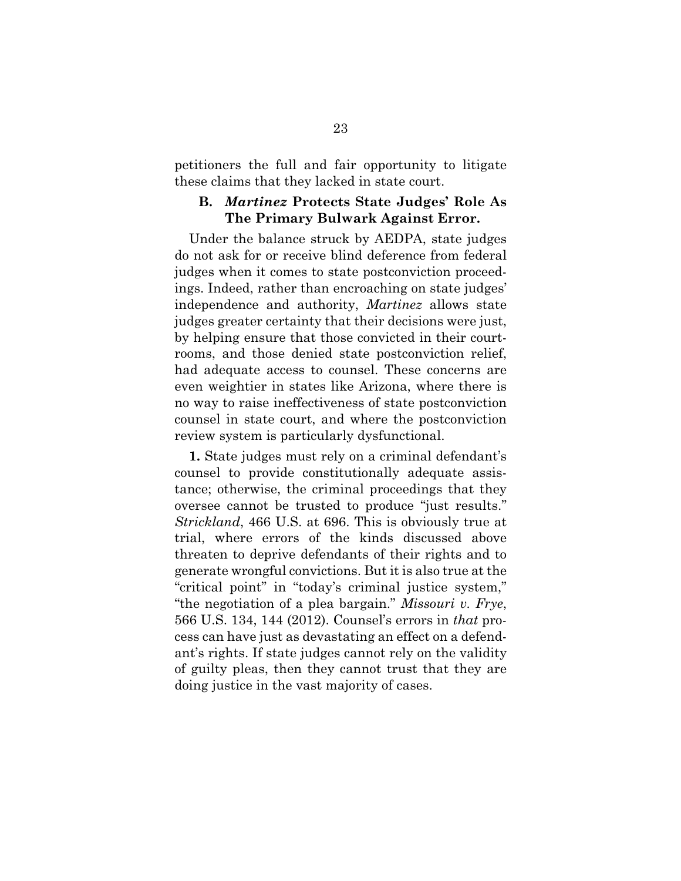petitioners the full and fair opportunity to litigate these claims that they lacked in state court.

#### **B.** *Martinez* **Protects State Judges' Role As The Primary Bulwark Against Error.**

Under the balance struck by AEDPA, state judges do not ask for or receive blind deference from federal judges when it comes to state postconviction proceedings. Indeed, rather than encroaching on state judges' independence and authority, *Martinez* allows state judges greater certainty that their decisions were just, by helping ensure that those convicted in their courtrooms, and those denied state postconviction relief, had adequate access to counsel. These concerns are even weightier in states like Arizona, where there is no way to raise ineffectiveness of state postconviction counsel in state court, and where the postconviction review system is particularly dysfunctional.

**1.** State judges must rely on a criminal defendant's counsel to provide constitutionally adequate assistance; otherwise, the criminal proceedings that they oversee cannot be trusted to produce "just results." *Strickland*, 466 U.S. at 696. This is obviously true at trial, where errors of the kinds discussed above threaten to deprive defendants of their rights and to generate wrongful convictions. But it is also true at the "critical point" in "today's criminal justice system," "the negotiation of a plea bargain." *Missouri v. Frye*, 566 U.S. 134, 144 (2012). Counsel's errors in *that* process can have just as devastating an effect on a defendant's rights. If state judges cannot rely on the validity of guilty pleas, then they cannot trust that they are doing justice in the vast majority of cases.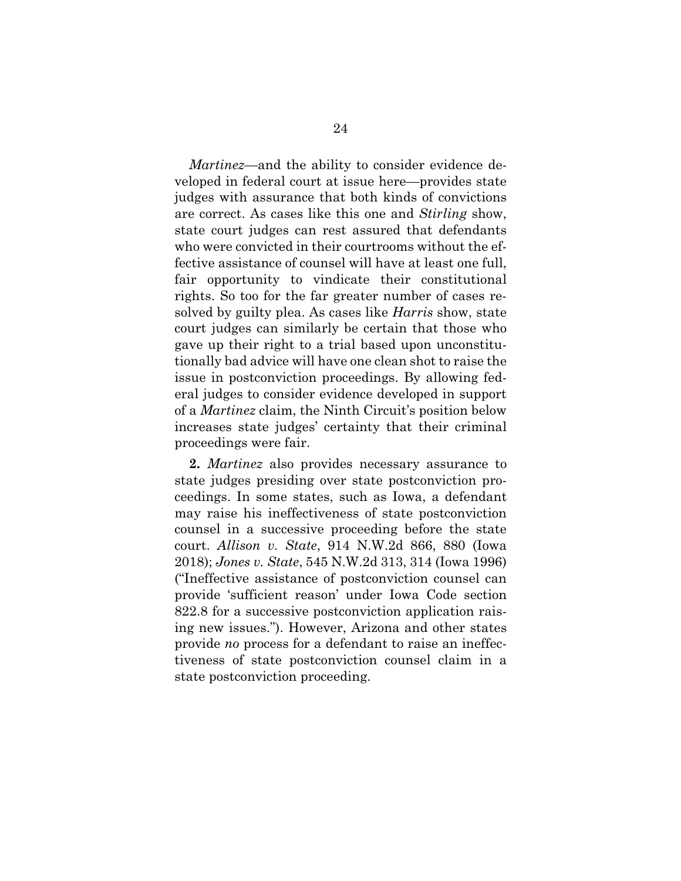*Martinez—*and the ability to consider evidence developed in federal court at issue here—provides state judges with assurance that both kinds of convictions are correct. As cases like this one and *Stirling* show, state court judges can rest assured that defendants who were convicted in their courtrooms without the effective assistance of counsel will have at least one full, fair opportunity to vindicate their constitutional rights. So too for the far greater number of cases resolved by guilty plea. As cases like *Harris* show, state court judges can similarly be certain that those who gave up their right to a trial based upon unconstitutionally bad advice will have one clean shot to raise the issue in postconviction proceedings. By allowing federal judges to consider evidence developed in support of a *Martinez* claim, the Ninth Circuit's position below increases state judges' certainty that their criminal proceedings were fair.

**2.** *Martinez* also provides necessary assurance to state judges presiding over state postconviction proceedings. In some states, such as Iowa, a defendant may raise his ineffectiveness of state postconviction counsel in a successive proceeding before the state court. *Allison v. State*, 914 N.W.2d 866, 880 (Iowa 2018); *Jones v. State*, 545 N.W.2d 313, 314 (Iowa 1996) ("Ineffective assistance of postconviction counsel can provide 'sufficient reason' under Iowa Code section 822.8 for a successive postconviction application raising new issues."). However, Arizona and other states provide *no* process for a defendant to raise an ineffectiveness of state postconviction counsel claim in a state postconviction proceeding.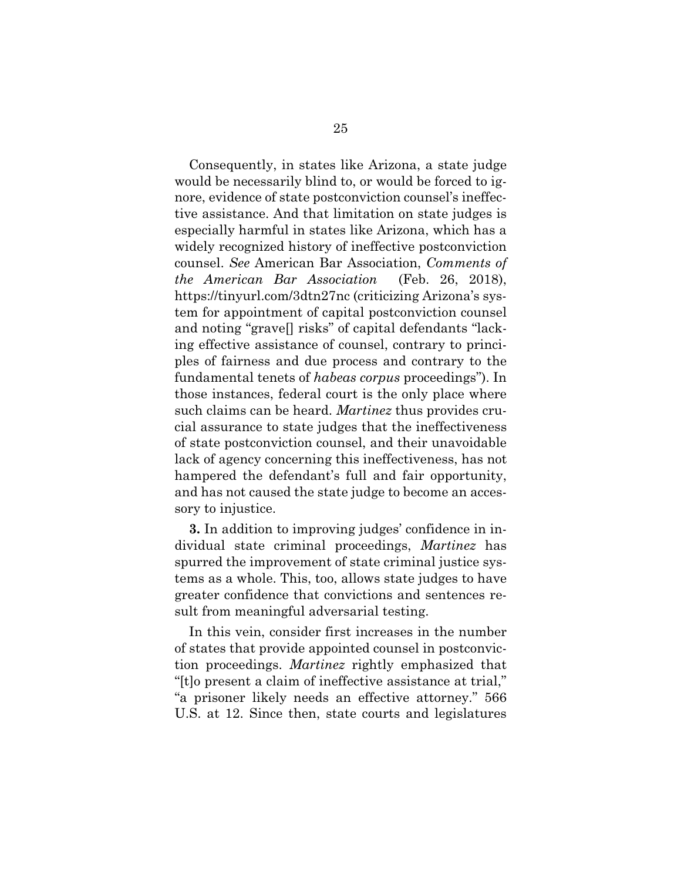Consequently, in states like Arizona, a state judge would be necessarily blind to, or would be forced to ignore, evidence of state postconviction counsel's ineffective assistance. And that limitation on state judges is especially harmful in states like Arizona, which has a widely recognized history of ineffective postconviction counsel. *See* American Bar Association, *Comments of the American Bar Association* (Feb. 26, 2018), https://tinyurl.com/3dtn27nc (criticizing Arizona's system for appointment of capital postconviction counsel and noting "grave[] risks" of capital defendants "lacking effective assistance of counsel, contrary to principles of fairness and due process and contrary to the fundamental tenets of *habeas corpus* proceedings"). In those instances, federal court is the only place where such claims can be heard. *Martinez* thus provides crucial assurance to state judges that the ineffectiveness of state postconviction counsel, and their unavoidable lack of agency concerning this ineffectiveness, has not hampered the defendant's full and fair opportunity, and has not caused the state judge to become an accessory to injustice.

**3.** In addition to improving judges' confidence in individual state criminal proceedings, *Martinez* has spurred the improvement of state criminal justice systems as a whole. This, too, allows state judges to have greater confidence that convictions and sentences result from meaningful adversarial testing.

In this vein, consider first increases in the number of states that provide appointed counsel in postconviction proceedings. *Martinez* rightly emphasized that "[t]o present a claim of ineffective assistance at trial," "a prisoner likely needs an effective attorney." 566 U.S. at 12. Since then, state courts and legislatures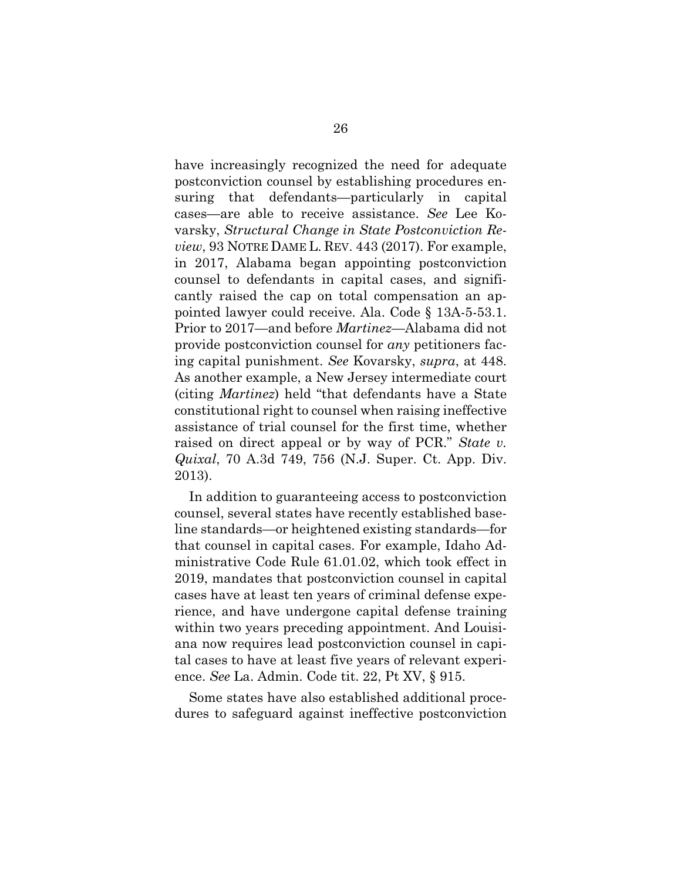have increasingly recognized the need for adequate postconviction counsel by establishing procedures ensuring that defendants—particularly in capital cases—are able to receive assistance. *See* Lee Kovarsky, *Structural Change in State Postconviction Review*, 93 NOTRE DAME L. REV. 443 (2017). For example, in 2017, Alabama began appointing postconviction counsel to defendants in capital cases, and significantly raised the cap on total compensation an appointed lawyer could receive. Ala. Code § 13A-5-53.1. Prior to 2017—and before *Martinez*—Alabama did not provide postconviction counsel for *any* petitioners facing capital punishment. *See* Kovarsky, *supra*, at 448. As another example, a New Jersey intermediate court (citing *Martinez*) held "that defendants have a State constitutional right to counsel when raising ineffective assistance of trial counsel for the first time, whether raised on direct appeal or by way of PCR." *State v. Quixal*, 70 A.3d 749, 756 (N.J. Super. Ct. App. Div. 2013).

In addition to guaranteeing access to postconviction counsel, several states have recently established baseline standards—or heightened existing standards—for that counsel in capital cases. For example, Idaho Administrative Code Rule 61.01.02, which took effect in 2019, mandates that postconviction counsel in capital cases have at least ten years of criminal defense experience, and have undergone capital defense training within two years preceding appointment. And Louisiana now requires lead postconviction counsel in capital cases to have at least five years of relevant experience. *See* La. Admin. Code tit. 22, Pt XV, § 915.

Some states have also established additional procedures to safeguard against ineffective postconviction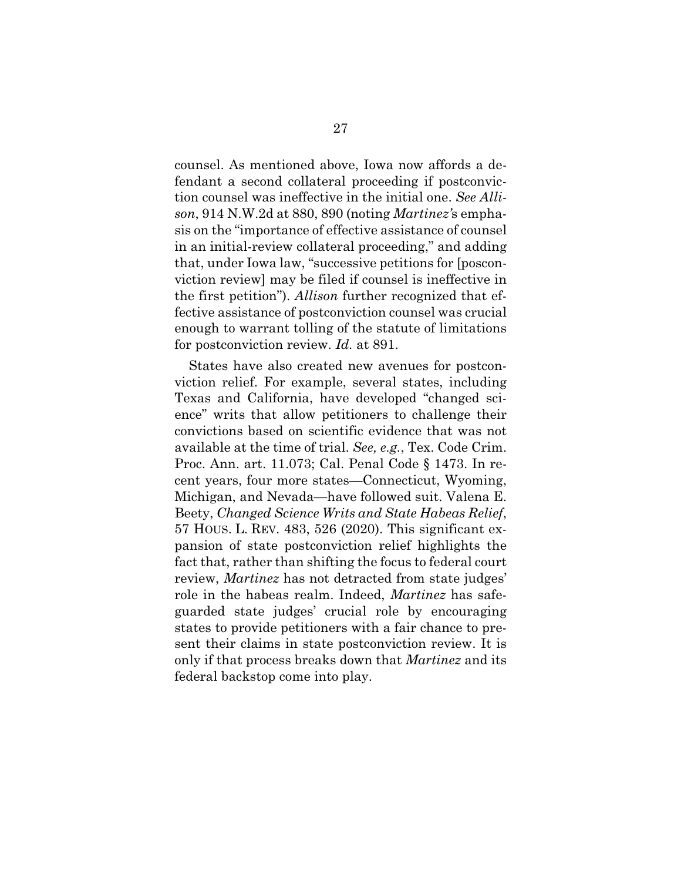counsel. As mentioned above, Iowa now affords a defendant a second collateral proceeding if postconviction counsel was ineffective in the initial one. *See Allison*, 914 N.W.2d at 880, 890 (noting *Martinez'*s emphasis on the "importance of effective assistance of counsel in an initial-review collateral proceeding," and adding that, under Iowa law, "successive petitions for [posconviction review] may be filed if counsel is ineffective in the first petition"). *Allison* further recognized that effective assistance of postconviction counsel was crucial enough to warrant tolling of the statute of limitations for postconviction review. *Id.* at 891.

States have also created new avenues for postconviction relief. For example, several states, including Texas and California, have developed "changed science" writs that allow petitioners to challenge their convictions based on scientific evidence that was not available at the time of trial. *See, e.g.*, Tex. Code Crim. Proc. Ann. art. 11.073; Cal. Penal Code § 1473. In recent years, four more states—Connecticut, Wyoming, Michigan, and Nevada—have followed suit. Valena E. Beety, *Changed Science Writs and State Habeas Relief*, 57 HOUS. L. REV. 483, 526 (2020). This significant expansion of state postconviction relief highlights the fact that, rather than shifting the focus to federal court review, *Martinez* has not detracted from state judges' role in the habeas realm. Indeed, *Martinez* has safeguarded state judges' crucial role by encouraging states to provide petitioners with a fair chance to present their claims in state postconviction review. It is only if that process breaks down that *Martinez* and its federal backstop come into play.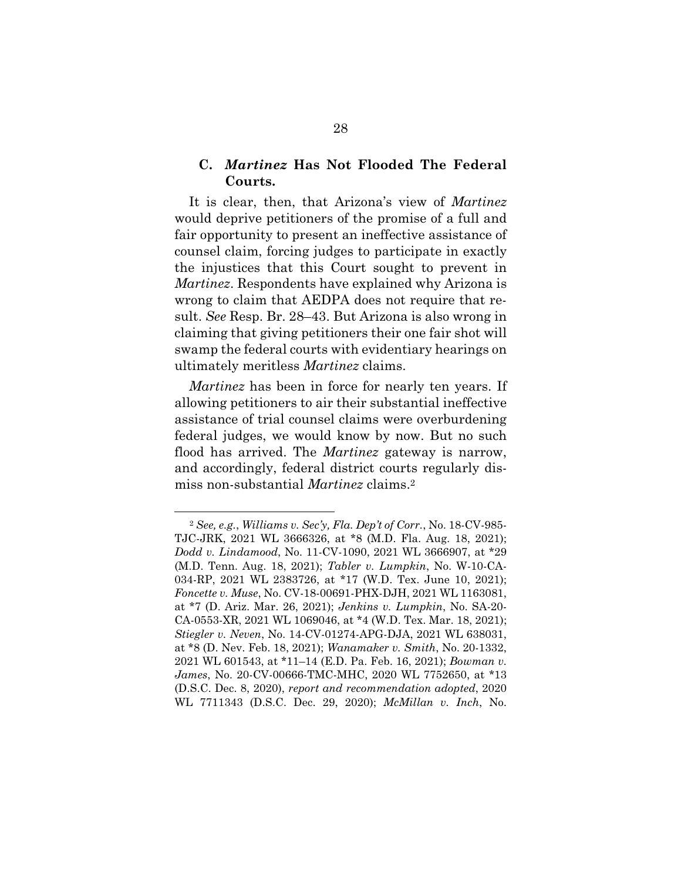#### **C.** *Martinez* **Has Not Flooded The Federal Courts.**

It is clear, then, that Arizona's view of *Martinez*  would deprive petitioners of the promise of a full and fair opportunity to present an ineffective assistance of counsel claim, forcing judges to participate in exactly the injustices that this Court sought to prevent in *Martinez*. Respondents have explained why Arizona is wrong to claim that AEDPA does not require that result. *See* Resp. Br. 28–43. But Arizona is also wrong in claiming that giving petitioners their one fair shot will swamp the federal courts with evidentiary hearings on ultimately meritless *Martinez* claims.

*Martinez* has been in force for nearly ten years. If allowing petitioners to air their substantial ineffective assistance of trial counsel claims were overburdening federal judges, we would know by now. But no such flood has arrived. The *Martinez* gateway is narrow, and accordingly, federal district courts regularly dismiss non-substantial *Martinez* claims.2

1

<sup>2</sup> *See, e.g.*, *Williams v. Sec'y, Fla. Dep't of Corr.*, No. 18-CV-985- TJC-JRK, 2021 WL 3666326, at \*8 (M.D. Fla. Aug. 18, 2021); *Dodd v. Lindamood*, No. 11-CV-1090, 2021 WL 3666907, at \*29 (M.D. Tenn. Aug. 18, 2021); *Tabler v. Lumpkin*, No. W-10-CA-034-RP, 2021 WL 2383726, at \*17 (W.D. Tex. June 10, 2021); *Foncette v. Muse*, No. CV-18-00691-PHX-DJH, 2021 WL 1163081, at \*7 (D. Ariz. Mar. 26, 2021); *Jenkins v. Lumpkin*, No. SA-20- CA-0553-XR, 2021 WL 1069046, at \*4 (W.D. Tex. Mar. 18, 2021); *Stiegler v. Neven*, No. 14-CV-01274-APG-DJA, 2021 WL 638031, at \*8 (D. Nev. Feb. 18, 2021); *Wanamaker v. Smith*, No. 20-1332, 2021 WL 601543, at \*11–14 (E.D. Pa. Feb. 16, 2021); *Bowman v. James*, No. 20-CV-00666-TMC-MHC, 2020 WL 7752650, at \*13 (D.S.C. Dec. 8, 2020), *report and recommendation adopted*, 2020 WL 7711343 (D.S.C. Dec. 29, 2020); *McMillan v. Inch*, No.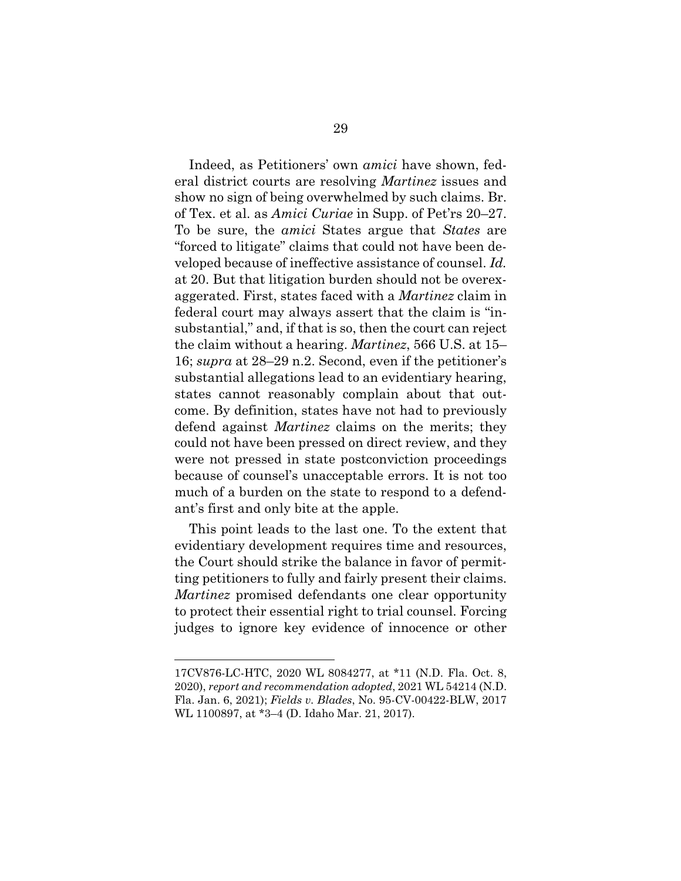Indeed, as Petitioners' own *amici* have shown, federal district courts are resolving *Martinez* issues and show no sign of being overwhelmed by such claims. Br. of Tex. et al. as *Amici Curiae* in Supp. of Pet'rs 20–27. To be sure, the *amici* States argue that *States* are "forced to litigate" claims that could not have been developed because of ineffective assistance of counsel. *Id.*  at 20. But that litigation burden should not be overexaggerated. First, states faced with a *Martinez* claim in federal court may always assert that the claim is "insubstantial," and, if that is so, then the court can reject the claim without a hearing. *Martinez*, 566 U.S. at 15– 16; *supra* at 28–29 n.2. Second, even if the petitioner's substantial allegations lead to an evidentiary hearing, states cannot reasonably complain about that outcome. By definition, states have not had to previously defend against *Martinez* claims on the merits; they could not have been pressed on direct review, and they were not pressed in state postconviction proceedings because of counsel's unacceptable errors. It is not too much of a burden on the state to respond to a defendant's first and only bite at the apple.

This point leads to the last one. To the extent that evidentiary development requires time and resources, the Court should strike the balance in favor of permitting petitioners to fully and fairly present their claims. *Martinez* promised defendants one clear opportunity to protect their essential right to trial counsel. Forcing judges to ignore key evidence of innocence or other

1

<sup>17</sup>CV876-LC-HTC, 2020 WL 8084277, at \*11 (N.D. Fla. Oct. 8, 2020), *report and recommendation adopted*, 2021 WL 54214 (N.D. Fla. Jan. 6, 2021); *Fields v. Blades*, No. 95-CV-00422-BLW, 2017 WL 1100897, at \*3–4 (D. Idaho Mar. 21, 2017).